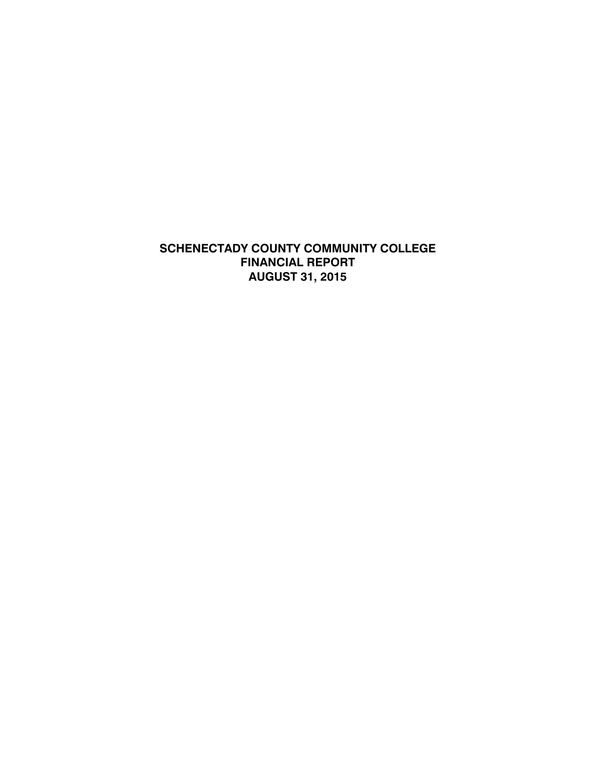# **SCHENECTADY COUNTY COMMUNITY COLLEGE FINANCIAL REPORT AUGUST 31, 2015**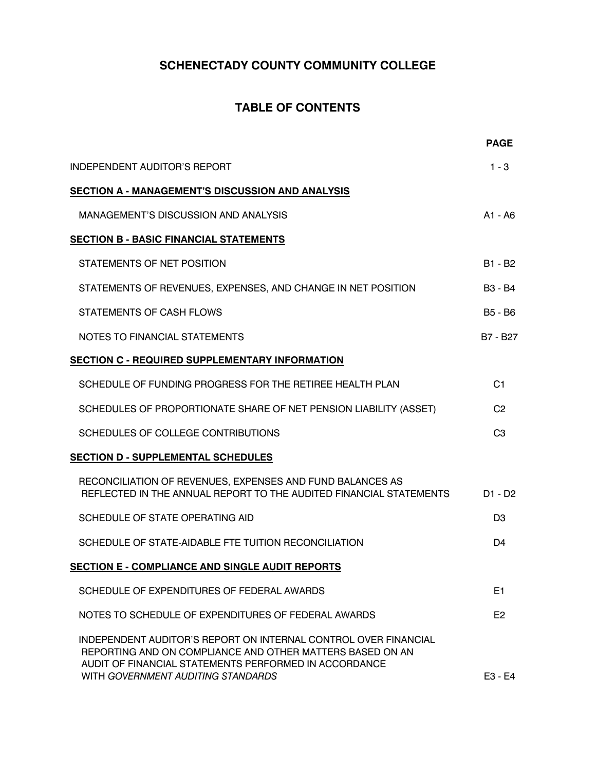# **SCHENECTADY COUNTY COMMUNITY COLLEGE**

# **TABLE OF CONTENTS**

|                                                                                                                                                                                       | <b>PAGE</b>    |
|---------------------------------------------------------------------------------------------------------------------------------------------------------------------------------------|----------------|
| <b>INDEPENDENT AUDITOR'S REPORT</b>                                                                                                                                                   | $1 - 3$        |
| SECTION A - MANAGEMENT'S DISCUSSION AND ANALYSIS                                                                                                                                      |                |
| <b>MANAGEMENT'S DISCUSSION AND ANALYSIS</b>                                                                                                                                           | A1 - A6        |
| <b>SECTION B - BASIC FINANCIAL STATEMENTS</b>                                                                                                                                         |                |
| STATEMENTS OF NET POSITION                                                                                                                                                            | B1 - B2        |
| STATEMENTS OF REVENUES, EXPENSES, AND CHANGE IN NET POSITION                                                                                                                          | B3 - B4        |
| <b>STATEMENTS OF CASH FLOWS</b>                                                                                                                                                       | B5 - B6        |
| NOTES TO FINANCIAL STATEMENTS                                                                                                                                                         | B7 - B27       |
| <b>SECTION C - REQUIRED SUPPLEMENTARY INFORMATION</b>                                                                                                                                 |                |
| SCHEDULE OF FUNDING PROGRESS FOR THE RETIREE HEALTH PLAN                                                                                                                              | C <sub>1</sub> |
| SCHEDULES OF PROPORTIONATE SHARE OF NET PENSION LIABILITY (ASSET)                                                                                                                     | C <sub>2</sub> |
| SCHEDULES OF COLLEGE CONTRIBUTIONS                                                                                                                                                    | C <sub>3</sub> |
| <b>SECTION D - SUPPLEMENTAL SCHEDULES</b>                                                                                                                                             |                |
| RECONCILIATION OF REVENUES, EXPENSES AND FUND BALANCES AS<br>REFLECTED IN THE ANNUAL REPORT TO THE AUDITED FINANCIAL STATEMENTS                                                       | $D1 - D2$      |
| SCHEDULE OF STATE OPERATING AID                                                                                                                                                       | D3             |
| SCHEDULE OF STATE-AIDABLE FTE TUITION RECONCILIATION                                                                                                                                  | D <sub>4</sub> |
| <b>SECTION E - COMPLIANCE AND SINGLE AUDIT REPORTS</b>                                                                                                                                |                |
| SCHEDULE OF EXPENDITURES OF FEDERAL AWARDS                                                                                                                                            | E1             |
| NOTES TO SCHEDULE OF EXPENDITURES OF FEDERAL AWARDS                                                                                                                                   | E <sub>2</sub> |
| INDEPENDENT AUDITOR'S REPORT ON INTERNAL CONTROL OVER FINANCIAL<br>REPORTING AND ON COMPLIANCE AND OTHER MATTERS BASED ON AN<br>AUDIT OF FINANCIAL STATEMENTS PERFORMED IN ACCORDANCE |                |
| WITH GOVERNMENT AUDITING STANDARDS                                                                                                                                                    | E3 - E4        |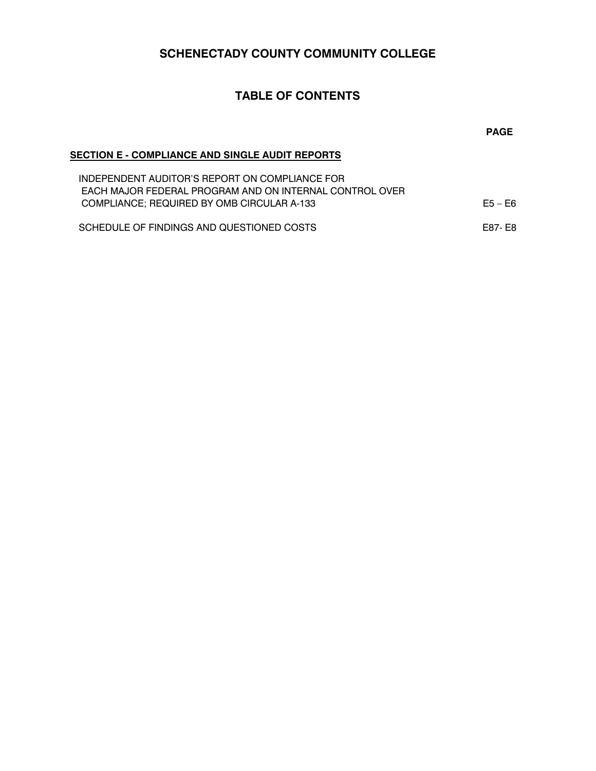# **SCHENECTADY COUNTY COMMUNITY COLLEGE**

# **TABLE OF CONTENTS**

|                                                                                                                                                         | <b>PAGE</b> |
|---------------------------------------------------------------------------------------------------------------------------------------------------------|-------------|
| <b>SECTION E - COMPLIANCE AND SINGLE AUDIT REPORTS</b>                                                                                                  |             |
| INDEPENDENT AUDITOR'S REPORT ON COMPLIANCE FOR<br>EACH MAJOR FEDERAL PROGRAM AND ON INTERNAL CONTROL OVER<br>COMPLIANCE: REQUIRED BY OMB CIRCULAR A-133 | $F5 - F6$   |
| SCHEDULE OF FINDINGS AND QUESTIONED COSTS                                                                                                               | E87- E8     |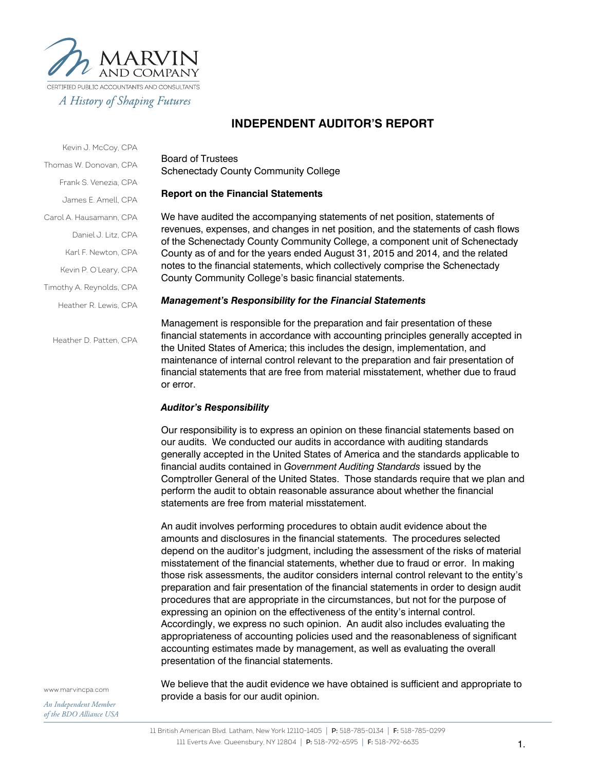

# **INDEPENDENT AUDITOR'S REPORT**

Kevin J. McCoy, CPA Thomas W. Donovan, CPA Frank S. Venezia, CPA James E. Amell, CPA Carol A. Hausamann, CPA Daniel J. Litz, CPA Karl F. Newton, CPA Kevin P. O'Leary, CPA Timothy A. Reynolds, CPA

Heather R. Lewis, CPA

Heather D. Patten, CPA

Board of Trustees Schenectady County Community College

### **Report on the Financial Statements**

We have audited the accompanying statements of net position, statements of revenues, expenses, and changes in net position, and the statements of cash flows of the Schenectady County Community College, a component unit of Schenectady County as of and for the years ended August 31, 2015 and 2014, and the related notes to the financial statements, which collectively comprise the Schenectady County Community College's basic financial statements.

#### *Management's Responsibility for the Financial Statements*

Management is responsible for the preparation and fair presentation of these financial statements in accordance with accounting principles generally accepted in the United States of America; this includes the design, implementation, and maintenance of internal control relevant to the preparation and fair presentation of financial statements that are free from material misstatement, whether due to fraud or error.

### *Auditor's Responsibility*

Our responsibility is to express an opinion on these financial statements based on our audits. We conducted our audits in accordance with auditing standards generally accepted in the United States of America and the standards applicable to financial audits contained in *Government Auditing Standards* issued by the Comptroller General of the United States. Those standards require that we plan and perform the audit to obtain reasonable assurance about whether the financial statements are free from material misstatement.

An audit involves performing procedures to obtain audit evidence about the amounts and disclosures in the financial statements. The procedures selected depend on the auditor's judgment, including the assessment of the risks of material misstatement of the financial statements, whether due to fraud or error. In making those risk assessments, the auditor considers internal control relevant to the entity's preparation and fair presentation of the financial statements in order to design audit procedures that are appropriate in the circumstances, but not for the purpose of expressing an opinion on the effectiveness of the entity's internal control. Accordingly, we express no such opinion. An audit also includes evaluating the appropriateness of accounting policies used and the reasonableness of significant accounting estimates made by management, as well as evaluating the overall presentation of the financial statements.

We believe that the audit evidence we have obtained is sufficient and appropriate to provide a basis for our audit opinion.

www.marvincpa.com

*An Independent Member of the BDO Alliance USA*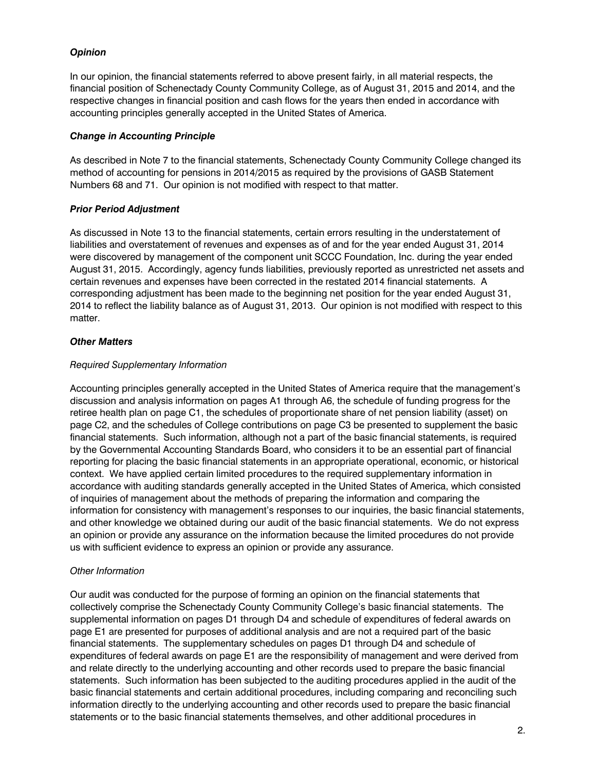## *Opinion*

In our opinion, the financial statements referred to above present fairly, in all material respects, the financial position of Schenectady County Community College, as of August 31, 2015 and 2014, and the respective changes in financial position and cash flows for the years then ended in accordance with accounting principles generally accepted in the United States of America.

## *Change in Accounting Principle*

As described in Note 7 to the financial statements, Schenectady County Community College changed its method of accounting for pensions in 2014/2015 as required by the provisions of GASB Statement Numbers 68 and 71. Our opinion is not modified with respect to that matter.

## *Prior Period Adjustment*

As discussed in Note 13 to the financial statements, certain errors resulting in the understatement of liabilities and overstatement of revenues and expenses as of and for the year ended August 31, 2014 were discovered by management of the component unit SCCC Foundation, Inc. during the year ended August 31, 2015. Accordingly, agency funds liabilities, previously reported as unrestricted net assets and certain revenues and expenses have been corrected in the restated 2014 financial statements. A corresponding adjustment has been made to the beginning net position for the year ended August 31, 2014 to reflect the liability balance as of August 31, 2013. Our opinion is not modified with respect to this matter.

## *Other Matters*

## *Required Supplementary Information*

Accounting principles generally accepted in the United States of America require that the management's discussion and analysis information on pages A1 through A6, the schedule of funding progress for the retiree health plan on page C1, the schedules of proportionate share of net pension liability (asset) on page C2, and the schedules of College contributions on page C3 be presented to supplement the basic financial statements. Such information, although not a part of the basic financial statements, is required by the Governmental Accounting Standards Board, who considers it to be an essential part of financial reporting for placing the basic financial statements in an appropriate operational, economic, or historical context. We have applied certain limited procedures to the required supplementary information in accordance with auditing standards generally accepted in the United States of America, which consisted of inquiries of management about the methods of preparing the information and comparing the information for consistency with management's responses to our inquiries, the basic financial statements, and other knowledge we obtained during our audit of the basic financial statements. We do not express an opinion or provide any assurance on the information because the limited procedures do not provide us with sufficient evidence to express an opinion or provide any assurance.

### *Other Information*

Our audit was conducted for the purpose of forming an opinion on the financial statements that collectively comprise the Schenectady County Community College's basic financial statements. The supplemental information on pages D1 through D4 and schedule of expenditures of federal awards on page E1 are presented for purposes of additional analysis and are not a required part of the basic financial statements. The supplementary schedules on pages D1 through D4 and schedule of expenditures of federal awards on page E1 are the responsibility of management and were derived from and relate directly to the underlying accounting and other records used to prepare the basic financial statements. Such information has been subjected to the auditing procedures applied in the audit of the basic financial statements and certain additional procedures, including comparing and reconciling such information directly to the underlying accounting and other records used to prepare the basic financial statements or to the basic financial statements themselves, and other additional procedures in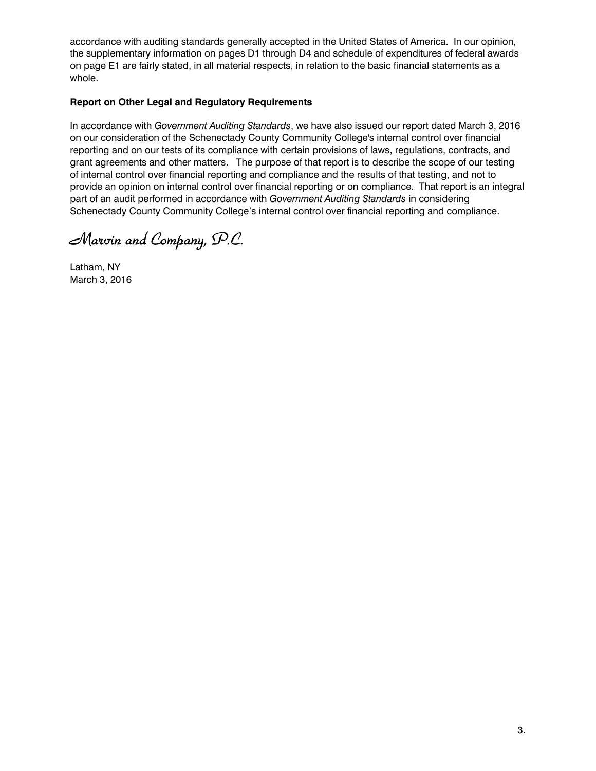accordance with auditing standards generally accepted in the United States of America. In our opinion, the supplementary information on pages D1 through D4 and schedule of expenditures of federal awards on page E1 are fairly stated, in all material respects, in relation to the basic financial statements as a whole.

## **Report on Other Legal and Regulatory Requirements**

In accordance with *Government Auditing Standards*, we have also issued our report dated March 3, 2016 on our consideration of the Schenectady County Community College's internal control over financial reporting and on our tests of its compliance with certain provisions of laws, regulations, contracts, and grant agreements and other matters. The purpose of that report is to describe the scope of our testing of internal control over financial reporting and compliance and the results of that testing, and not to provide an opinion on internal control over financial reporting or on compliance. That report is an integral part of an audit performed in accordance with *Government Auditing Standards* in considering Schenectady County Community College's internal control over financial reporting and compliance.

Marvin and Company, P.C.

Latham, NY March 3, 2016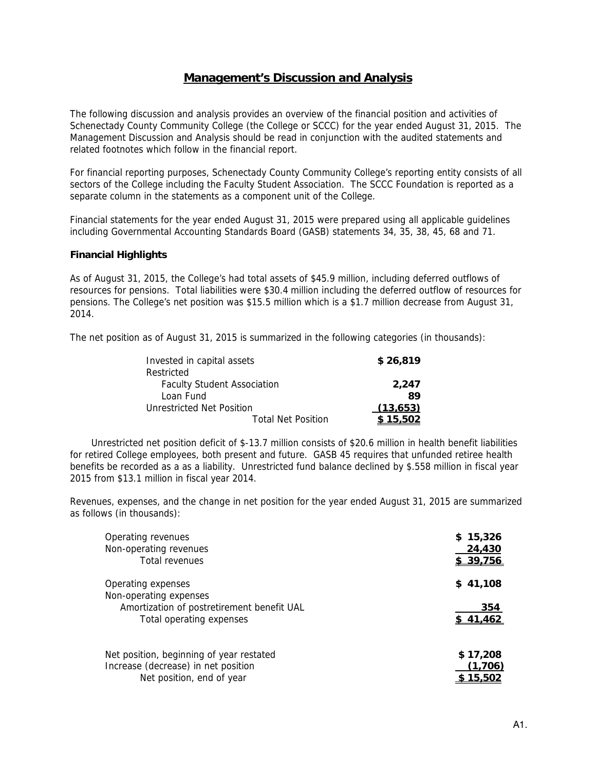# **Management's Discussion and Analysis**

The following discussion and analysis provides an overview of the financial position and activities of Schenectady County Community College (the College or SCCC) for the year ended August 31, 2015. The Management Discussion and Analysis should be read in conjunction with the audited statements and related footnotes which follow in the financial report.

For financial reporting purposes, Schenectady County Community College's reporting entity consists of all sectors of the College including the Faculty Student Association. The SCCC Foundation is reported as a separate column in the statements as a component unit of the College.

Financial statements for the year ended August 31, 2015 were prepared using all applicable guidelines including Governmental Accounting Standards Board (GASB) statements 34, 35, 38, 45, 68 and 71.

### **Financial Highlights**

As of August 31, 2015, the College's had total assets of \$45.9 million, including deferred outflows of resources for pensions. Total liabilities were \$30.4 million including the deferred outflow of resources for pensions. The College's net position was \$15.5 million which is a \$1.7 million decrease from August 31, 2014.

The net position as of August 31, 2015 is summarized in the following categories (in thousands):

| Invested in capital assets         | \$26.819  |
|------------------------------------|-----------|
| Restricted                         |           |
| <b>Faculty Student Association</b> | 2.247     |
| Loan Fund                          | 89        |
| Unrestricted Net Position          | (13, 653) |
| <b>Total Net Position</b>          | \$15,502  |

 Unrestricted net position deficit of \$-13.7 million consists of \$20.6 million in health benefit liabilities for retired College employees, both present and future. GASB 45 requires that unfunded retiree health benefits be recorded as a as a liability. Unrestricted fund balance declined by \$.558 million in fiscal year 2015 from \$13.1 million in fiscal year 2014.

Revenues, expenses, and the change in net position for the year ended August 31, 2015 are summarized as follows (in thousands):

| Operating revenues                           | \$15,326 |
|----------------------------------------------|----------|
| Non-operating revenues                       | 24,430   |
| Total revenues                               | \$39.756 |
| Operating expenses<br>Non-operating expenses | \$41,108 |
| Amortization of postretirement benefit UAL   | 354      |
| Total operating expenses                     | \$41.462 |
| Net position, beginning of year restated     | \$17,208 |
| Increase (decrease) in net position          | (1,706)  |
| Net position, end of year                    | \$15,502 |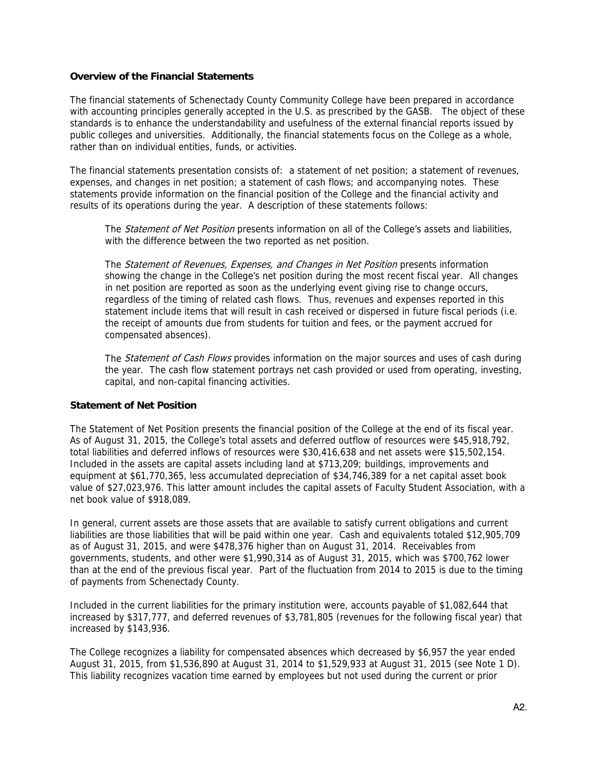## **Overview of the Financial Statements**

The financial statements of Schenectady County Community College have been prepared in accordance with accounting principles generally accepted in the U.S. as prescribed by the GASB. The object of these standards is to enhance the understandability and usefulness of the external financial reports issued by public colleges and universities. Additionally, the financial statements focus on the College as a whole, rather than on individual entities, funds, or activities.

The financial statements presentation consists of: a statement of net position; a statement of revenues, expenses, and changes in net position; a statement of cash flows; and accompanying notes. These statements provide information on the financial position of the College and the financial activity and results of its operations during the year. A description of these statements follows:

The Statement of Net Position presents information on all of the College's assets and liabilities, with the difference between the two reported as net position.

The Statement of Revenues, Expenses, and Changes in Net Position presents information showing the change in the College's net position during the most recent fiscal year. All changes in net position are reported as soon as the underlying event giving rise to change occurs, regardless of the timing of related cash flows. Thus, revenues and expenses reported in this statement include items that will result in cash received or dispersed in future fiscal periods (i.e. the receipt of amounts due from students for tuition and fees, or the payment accrued for compensated absences).

The Statement of Cash Flows provides information on the major sources and uses of cash during the year. The cash flow statement portrays net cash provided or used from operating, investing, capital, and non-capital financing activities.

## **Statement of Net Position**

The Statement of Net Position presents the financial position of the College at the end of its fiscal year. As of August 31, 2015, the College's total assets and deferred outflow of resources were \$45,918,792, total liabilities and deferred inflows of resources were \$30,416,638 and net assets were \$15,502,154. Included in the assets are capital assets including land at \$713,209; buildings, improvements and equipment at \$61,770,365, less accumulated depreciation of \$34,746,389 for a net capital asset book value of \$27,023,976. This latter amount includes the capital assets of Faculty Student Association, with a net book value of \$918,089.

In general, current assets are those assets that are available to satisfy current obligations and current liabilities are those liabilities that will be paid within one year. Cash and equivalents totaled \$12,905,709 as of August 31, 2015, and were \$478,376 higher than on August 31, 2014. Receivables from governments, students, and other were \$1,990,314 as of August 31, 2015, which was \$700,762 lower than at the end of the previous fiscal year. Part of the fluctuation from 2014 to 2015 is due to the timing of payments from Schenectady County.

Included in the current liabilities for the primary institution were, accounts payable of \$1,082,644 that increased by \$317,777, and deferred revenues of \$3,781,805 (revenues for the following fiscal year) that increased by \$143,936.

The College recognizes a liability for compensated absences which decreased by \$6,957 the year ended August 31, 2015, from \$1,536,890 at August 31, 2014 to \$1,529,933 at August 31, 2015 (see Note 1 D). This liability recognizes vacation time earned by employees but not used during the current or prior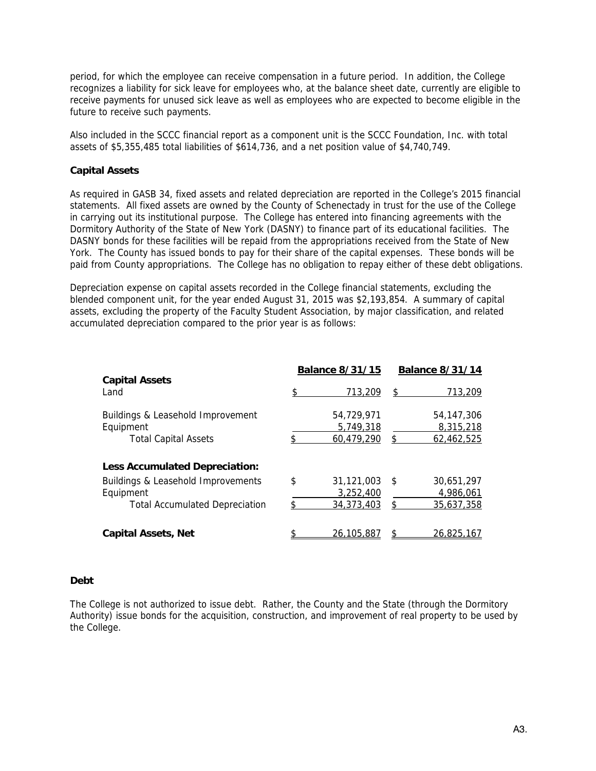period, for which the employee can receive compensation in a future period. In addition, the College recognizes a liability for sick leave for employees who, at the balance sheet date, currently are eligible to receive payments for unused sick leave as well as employees who are expected to become eligible in the future to receive such payments.

Also included in the SCCC financial report as a component unit is the SCCC Foundation, Inc. with total assets of \$5,355,485 total liabilities of \$614,736, and a net position value of \$4,740,749.

### **Capital Assets**

As required in GASB 34, fixed assets and related depreciation are reported in the College's 2015 financial statements. All fixed assets are owned by the County of Schenectady in trust for the use of the College in carrying out its institutional purpose. The College has entered into financing agreements with the Dormitory Authority of the State of New York (DASNY) to finance part of its educational facilities. The DASNY bonds for these facilities will be repaid from the appropriations received from the State of New York. The County has issued bonds to pay for their share of the capital expenses. These bonds will be paid from County appropriations. The College has no obligation to repay either of these debt obligations.

Depreciation expense on capital assets recorded in the College financial statements, excluding the blended component unit, for the year ended August 31, 2015 was \$2,193,854. A summary of capital assets, excluding the property of the Faculty Student Association, by major classification, and related accumulated depreciation compared to the prior year is as follows:

|                                                |     | <b>Balance 8/31/15</b>  |      | <b>Balance 8/31/14</b>    |
|------------------------------------------------|-----|-------------------------|------|---------------------------|
| <b>Capital Assets</b><br>Land                  | \$. | 713,209                 | \$   | 713.209                   |
| Buildings & Leasehold Improvement<br>Equipment |     | 54.729.971<br>5,749,318 |      | 54, 147, 306<br>8,315,218 |
| <b>Total Capital Assets</b>                    |     | 60,479,290              |      | 62,462,525                |
| <b>Less Accumulated Depreciation:</b>          |     |                         |      |                           |
| Buildings & Leasehold Improvements             | \$  | 31,121,003              | - \$ | 30,651,297                |
| Equipment                                      |     | 3.252.400               |      | 4,986,061                 |
| <b>Total Accumulated Depreciation</b>          |     | 34, 373, 403            | \$   | 35,637,358                |
| <b>Capital Assets, Net</b>                     |     | 26,105,887              |      | <u>26,825,167</u>         |

### **Debt**

The College is not authorized to issue debt. Rather, the County and the State (through the Dormitory Authority) issue bonds for the acquisition, construction, and improvement of real property to be used by the College.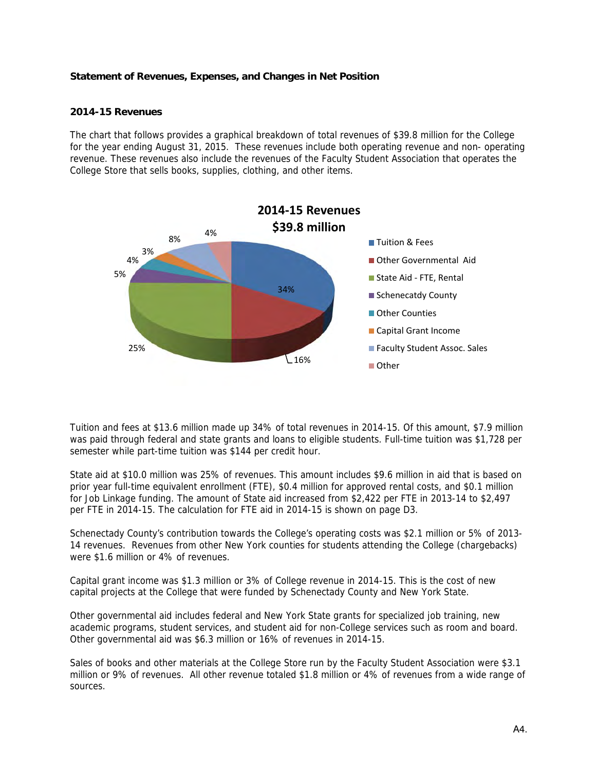## **Statement of Revenues, Expenses, and Changes in Net Position**

### **2014-15 Revenues**

The chart that follows provides a graphical breakdown of total revenues of \$39.8 million for the College for the year ending August 31, 2015. These revenues include both operating revenue and non- operating revenue. These revenues also include the revenues of the Faculty Student Association that operates the College Store that sells books, supplies, clothing, and other items.



Tuition and fees at \$13.6 million made up 34% of total revenues in 2014-15. Of this amount, \$7.9 million was paid through federal and state grants and loans to eligible students. Full-time tuition was \$1,728 per semester while part-time tuition was \$144 per credit hour.

State aid at \$10.0 million was 25% of revenues. This amount includes \$9.6 million in aid that is based on prior year full-time equivalent enrollment (FTE), \$0.4 million for approved rental costs, and \$0.1 million for Job Linkage funding. The amount of State aid increased from \$2,422 per FTE in 2013-14 to \$2,497 per FTE in 2014-15. The calculation for FTE aid in 2014-15 is shown on page D3.

Schenectady County's contribution towards the College's operating costs was \$2.1 million or 5% of 2013- 14 revenues. Revenues from other New York counties for students attending the College (chargebacks) were \$1.6 million or 4% of revenues.

Capital grant income was \$1.3 million or 3% of College revenue in 2014-15. This is the cost of new capital projects at the College that were funded by Schenectady County and New York State.

Other governmental aid includes federal and New York State grants for specialized job training, new academic programs, student services, and student aid for non-College services such as room and board. Other governmental aid was \$6.3 million or 16% of revenues in 2014-15.

Sales of books and other materials at the College Store run by the Faculty Student Association were \$3.1 million or 9% of revenues. All other revenue totaled \$1.8 million or 4% of revenues from a wide range of sources.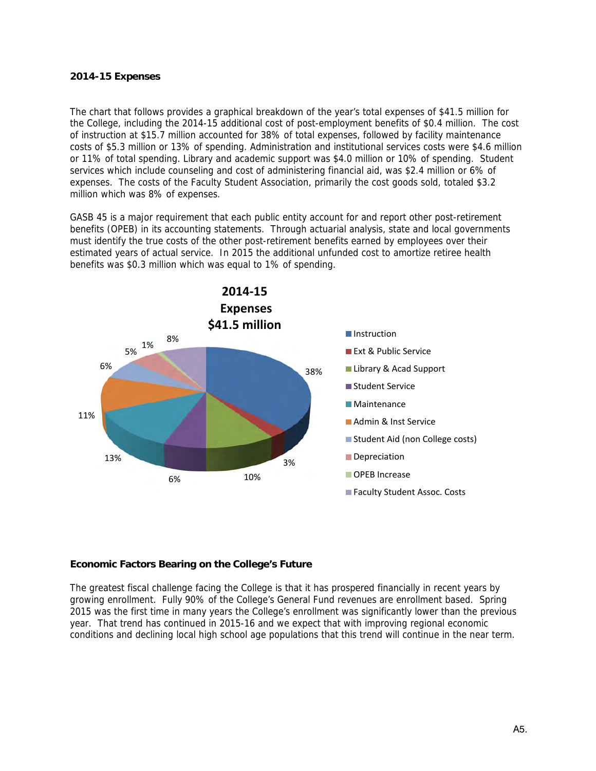### **2014-15 Expenses**

The chart that follows provides a graphical breakdown of the year's total expenses of \$41.5 million for the College, including the 2014-15 additional cost of post-employment benefits of \$0.4 million. The cost of instruction at \$15.7 million accounted for 38% of total expenses, followed by facility maintenance costs of \$5.3 million or 13% of spending. Administration and institutional services costs were \$4.6 million or 11% of total spending. Library and academic support was \$4.0 million or 10% of spending. Student services which include counseling and cost of administering financial aid, was \$2.4 million or 6% of expenses. The costs of the Faculty Student Association, primarily the cost goods sold, totaled \$3.2 million which was 8% of expenses.

GASB 45 is a major requirement that each public entity account for and report other post-retirement benefits (OPEB) in its accounting statements. Through actuarial analysis, state and local governments must identify the true costs of the other post-retirement benefits earned by employees over their estimated years of actual service. In 2015 the additional unfunded cost to amortize retiree health benefits was \$0.3 million which was equal to 1% of spending.



### **Economic Factors Bearing on the College's Future**

The greatest fiscal challenge facing the College is that it has prospered financially in recent years by growing enrollment. Fully 90% of the College's General Fund revenues are enrollment based. Spring 2015 was the first time in many years the College's enrollment was significantly lower than the previous year. That trend has continued in 2015-16 and we expect that with improving regional economic conditions and declining local high school age populations that this trend will continue in the near term.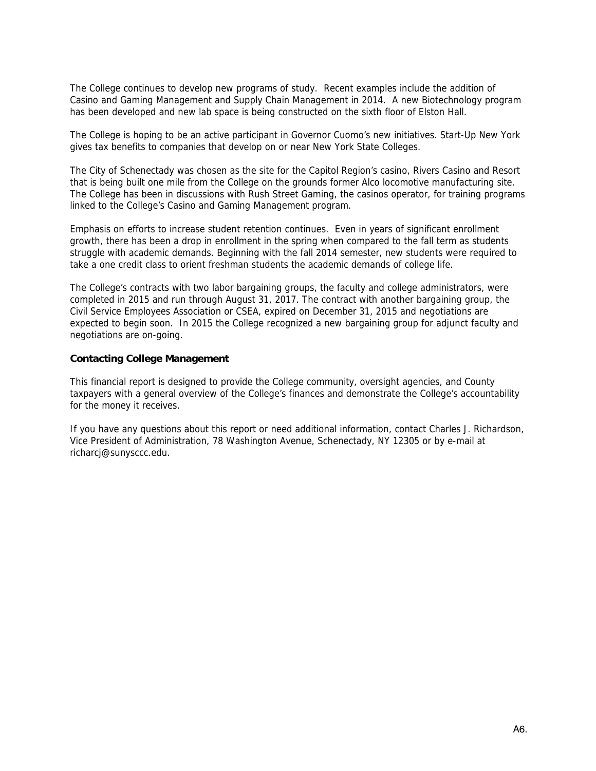The College continues to develop new programs of study. Recent examples include the addition of Casino and Gaming Management and Supply Chain Management in 2014. A new Biotechnology program has been developed and new lab space is being constructed on the sixth floor of Elston Hall.

The College is hoping to be an active participant in Governor Cuomo's new initiatives. Start-Up New York gives tax benefits to companies that develop on or near New York State Colleges.

The City of Schenectady was chosen as the site for the Capitol Region's casino, Rivers Casino and Resort that is being built one mile from the College on the grounds former Alco locomotive manufacturing site. The College has been in discussions with Rush Street Gaming, the casinos operator, for training programs linked to the College's Casino and Gaming Management program.

Emphasis on efforts to increase student retention continues. Even in years of significant enrollment growth, there has been a drop in enrollment in the spring when compared to the fall term as students struggle with academic demands. Beginning with the fall 2014 semester, new students were required to take a one credit class to orient freshman students the academic demands of college life.

The College's contracts with two labor bargaining groups, the faculty and college administrators, were completed in 2015 and run through August 31, 2017. The contract with another bargaining group, the Civil Service Employees Association or CSEA, expired on December 31, 2015 and negotiations are expected to begin soon. In 2015 the College recognized a new bargaining group for adjunct faculty and negotiations are on-going.

## **Contacting College Management**

This financial report is designed to provide the College community, oversight agencies, and County taxpayers with a general overview of the College's finances and demonstrate the College's accountability for the money it receives.

If you have any questions about this report or need additional information, contact Charles J. Richardson, Vice President of Administration, 78 Washington Avenue, Schenectady, NY 12305 or by e-mail at richarcj@sunysccc.edu.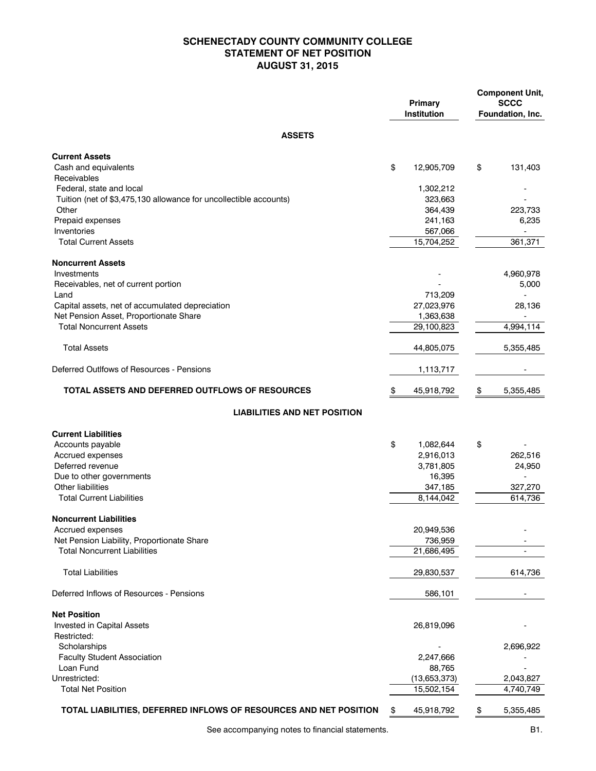## **SCHENECTADY COUNTY COMMUNITY COLLEGE STATEMENT OF NET POSITION AUGUST 31, 2015**

|                                                                   | Primary<br><b>Institution</b> | <b>Component Unit,</b><br><b>SCCC</b><br>Foundation, Inc. |
|-------------------------------------------------------------------|-------------------------------|-----------------------------------------------------------|
| <b>ASSETS</b>                                                     |                               |                                                           |
| <b>Current Assets</b>                                             |                               |                                                           |
| Cash and equivalents                                              | \$<br>12,905,709              | \$<br>131,403                                             |
| Receivables                                                       |                               |                                                           |
| Federal, state and local                                          | 1,302,212                     |                                                           |
| Tuition (net of \$3,475,130 allowance for uncollectible accounts) | 323,663                       |                                                           |
| Other                                                             | 364,439                       | 223,733                                                   |
| Prepaid expenses                                                  | 241,163                       | 6,235                                                     |
| Inventories                                                       | 567,066                       |                                                           |
| <b>Total Current Assets</b>                                       | 15,704,252                    | 361,371                                                   |
|                                                                   |                               |                                                           |
| <b>Noncurrent Assets</b>                                          |                               |                                                           |
| Investments                                                       |                               | 4,960,978                                                 |
| Receivables, net of current portion                               |                               | 5,000                                                     |
| Land                                                              | 713,209                       |                                                           |
| Capital assets, net of accumulated depreciation                   | 27,023,976                    | 28,136                                                    |
| Net Pension Asset, Proportionate Share                            | 1,363,638                     |                                                           |
| <b>Total Noncurrent Assets</b>                                    | 29,100,823                    | 4,994,114                                                 |
|                                                                   |                               |                                                           |
| <b>Total Assets</b>                                               | 44,805,075                    | 5,355,485                                                 |
|                                                                   |                               |                                                           |
| Deferred Outlfows of Resources - Pensions                         | 1,113,717                     |                                                           |
| TOTAL ASSETS AND DEFERRED OUTFLOWS OF RESOURCES                   | \$<br>45,918,792              | \$<br>5,355,485                                           |
| <b>LIABILITIES AND NET POSITION</b>                               |                               |                                                           |
| <b>Current Liabilities</b>                                        |                               |                                                           |
| Accounts payable                                                  | \$<br>1,082,644               | \$                                                        |
| Accrued expenses                                                  | 2,916,013                     | 262,516                                                   |
| Deferred revenue                                                  | 3,781,805                     | 24,950                                                    |
| Due to other governments                                          | 16,395                        |                                                           |
| <b>Other liabilities</b>                                          | 347,185                       | 327,270                                                   |
| <b>Total Current Liabilities</b>                                  | 8,144,042                     | 614,736                                                   |
|                                                                   |                               |                                                           |
| <b>Noncurrent Liabilities</b>                                     |                               |                                                           |
| Accrued expenses                                                  | 20,949,536                    |                                                           |
| Net Pension Liability, Proportionate Share                        | 736,959                       |                                                           |
| <b>Total Noncurrent Liabilities</b>                               | 21,686,495                    |                                                           |
| <b>Total Liabilities</b>                                          | 29,830,537                    | 614,736                                                   |
| Deferred Inflows of Resources - Pensions                          | 586,101                       |                                                           |
|                                                                   |                               |                                                           |
| <b>Net Position</b>                                               |                               |                                                           |
| <b>Invested in Capital Assets</b>                                 | 26,819,096                    |                                                           |
| Restricted:                                                       |                               |                                                           |
| Scholarships                                                      |                               | 2,696,922                                                 |
| <b>Faculty Student Association</b>                                | 2,247,666                     |                                                           |
| Loan Fund                                                         | 88,765                        |                                                           |
| Unrestricted:                                                     | (13,653,373)                  | 2,043,827                                                 |
| <b>Total Net Position</b>                                         | 15,502,154                    | 4,740,749                                                 |
|                                                                   |                               |                                                           |
| TOTAL LIABILITIES, DEFERRED INFLOWS OF RESOURCES AND NET POSITION | \$<br>45,918,792              | \$<br>5,355,485                                           |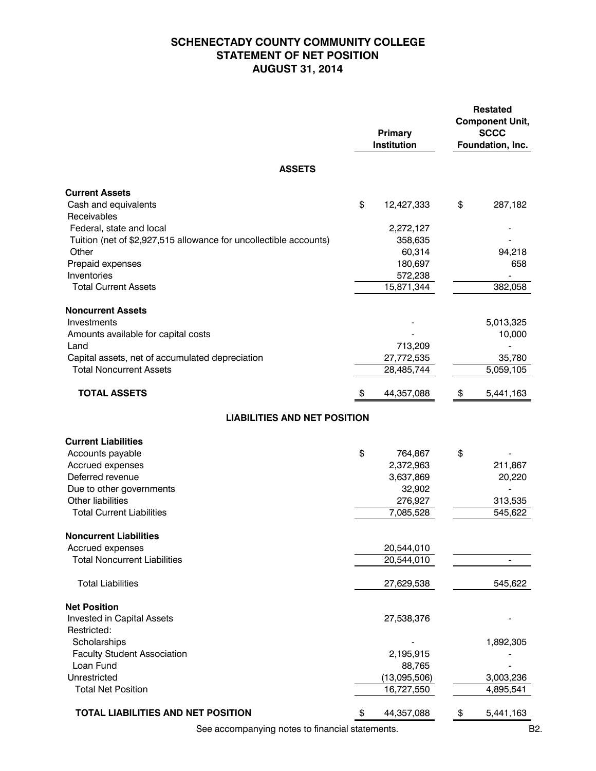# **SCHENECTADY COUNTY COMMUNITY COLLEGE STATEMENT OF NET POSITION AUGUST 31, 2014**

|                                                                   | <b>Primary</b><br><b>Institution</b> |              | <b>Restated</b><br><b>Component Unit,</b><br><b>SCCC</b><br>Foundation, Inc. |           |  |
|-------------------------------------------------------------------|--------------------------------------|--------------|------------------------------------------------------------------------------|-----------|--|
| <b>ASSETS</b>                                                     |                                      |              |                                                                              |           |  |
| <b>Current Assets</b>                                             |                                      |              |                                                                              |           |  |
| Cash and equivalents                                              | \$                                   | 12,427,333   | \$                                                                           | 287,182   |  |
| Receivables                                                       |                                      |              |                                                                              |           |  |
| Federal, state and local                                          |                                      | 2,272,127    |                                                                              |           |  |
| Tuition (net of \$2,927,515 allowance for uncollectible accounts) |                                      | 358,635      |                                                                              |           |  |
| Other                                                             |                                      | 60,314       |                                                                              | 94,218    |  |
| Prepaid expenses                                                  |                                      | 180,697      |                                                                              | 658       |  |
| Inventories                                                       |                                      | 572,238      |                                                                              |           |  |
| <b>Total Current Assets</b>                                       |                                      | 15,871,344   |                                                                              | 382,058   |  |
| <b>Noncurrent Assets</b>                                          |                                      |              |                                                                              |           |  |
| Investments                                                       |                                      |              |                                                                              | 5,013,325 |  |
| Amounts available for capital costs                               |                                      |              |                                                                              | 10,000    |  |
| Land                                                              |                                      | 713,209      |                                                                              |           |  |
| Capital assets, net of accumulated depreciation                   |                                      | 27,772,535   |                                                                              | 35,780    |  |
| <b>Total Noncurrent Assets</b>                                    |                                      | 28,485,744   |                                                                              | 5,059,105 |  |
| <b>TOTAL ASSETS</b>                                               | S                                    | 44,357,088   | \$                                                                           | 5,441,163 |  |
| <b>LIABILITIES AND NET POSITION</b>                               |                                      |              |                                                                              |           |  |
| <b>Current Liabilities</b>                                        |                                      |              |                                                                              |           |  |
| Accounts payable                                                  | \$                                   | 764,867      | \$                                                                           |           |  |
| Accrued expenses                                                  |                                      | 2,372,963    |                                                                              | 211,867   |  |
| Deferred revenue                                                  |                                      | 3,637,869    |                                                                              | 20,220    |  |
| Due to other governments                                          |                                      | 32,902       |                                                                              |           |  |
| Other liabilities                                                 |                                      | 276,927      |                                                                              | 313,535   |  |
| <b>Total Current Liabilities</b>                                  |                                      | 7,085,528    |                                                                              | 545,622   |  |
| Noncurrent Liabilities                                            |                                      |              |                                                                              |           |  |
| Accrued expenses                                                  |                                      | 20,544,010   |                                                                              |           |  |
| <b>Total Noncurrent Liabilities</b>                               |                                      | 20,544,010   |                                                                              |           |  |
| <b>Total Liabilities</b>                                          |                                      | 27,629,538   |                                                                              | 545,622   |  |
| <b>Net Position</b>                                               |                                      |              |                                                                              |           |  |
| <b>Invested in Capital Assets</b>                                 |                                      | 27,538,376   |                                                                              |           |  |
| Restricted:                                                       |                                      |              |                                                                              |           |  |
| Scholarships                                                      |                                      |              |                                                                              | 1,892,305 |  |
| <b>Faculty Student Association</b>                                |                                      | 2,195,915    |                                                                              |           |  |
| Loan Fund                                                         |                                      | 88,765       |                                                                              |           |  |
| Unrestricted                                                      |                                      | (13,095,506) |                                                                              | 3,003,236 |  |
| <b>Total Net Position</b>                                         |                                      | 16,727,550   |                                                                              | 4,895,541 |  |
| TOTAL LIABILITIES AND NET POSITION                                | \$                                   | 44,357,088   | \$                                                                           | 5,441,163 |  |

See accompanying notes to financial statements. The matrix of the B2.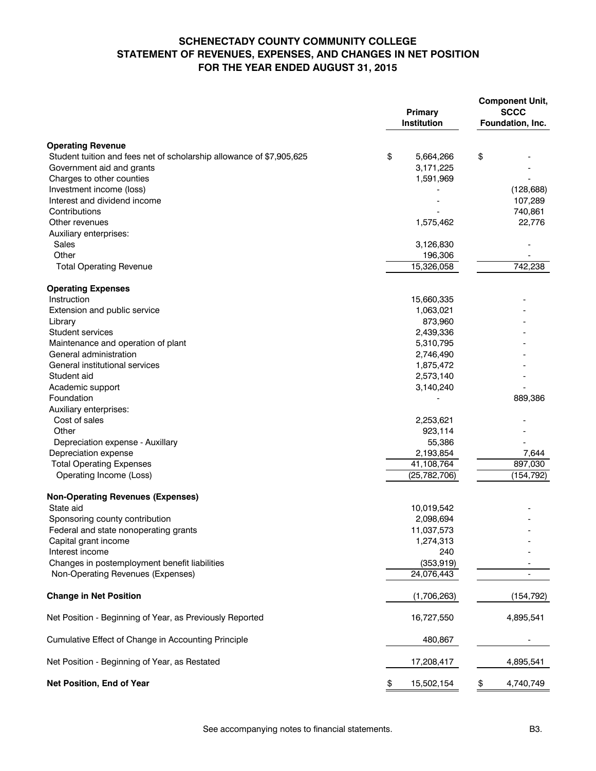# **SCHENECTADY COUNTY COMMUNITY COLLEGE STATEMENT OF REVENUES, EXPENSES, AND CHANGES IN NET POSITION FOR THE YEAR ENDED AUGUST 31, 2015**

|                                                                      | <b>Primary</b><br>Institution | <b>Component Unit,</b><br><b>SCCC</b><br>Foundation, Inc. |
|----------------------------------------------------------------------|-------------------------------|-----------------------------------------------------------|
| <b>Operating Revenue</b>                                             |                               |                                                           |
| Student tuition and fees net of scholarship allowance of \$7,905,625 | \$<br>5,664,266               | \$                                                        |
| Government aid and grants                                            | 3,171,225                     |                                                           |
| Charges to other counties                                            | 1,591,969                     |                                                           |
| Investment income (loss)                                             |                               | (128, 688)                                                |
| Interest and dividend income                                         |                               | 107,289                                                   |
| Contributions                                                        |                               | 740,861                                                   |
| Other revenues                                                       | 1,575,462                     | 22,776                                                    |
| Auxiliary enterprises:                                               |                               |                                                           |
| Sales                                                                |                               |                                                           |
|                                                                      | 3,126,830                     |                                                           |
| Other                                                                | 196,306                       |                                                           |
| <b>Total Operating Revenue</b>                                       | 15,326,058                    | 742,238                                                   |
| <b>Operating Expenses</b>                                            |                               |                                                           |
| Instruction                                                          | 15,660,335                    |                                                           |
| Extension and public service                                         | 1,063,021                     |                                                           |
| Library                                                              | 873,960                       |                                                           |
| <b>Student services</b>                                              | 2,439,336                     |                                                           |
| Maintenance and operation of plant                                   | 5,310,795                     |                                                           |
| General administration                                               | 2,746,490                     |                                                           |
| General institutional services                                       | 1,875,472                     |                                                           |
| Student aid                                                          | 2,573,140                     |                                                           |
| Academic support                                                     | 3,140,240                     |                                                           |
| Foundation                                                           |                               | 889,386                                                   |
|                                                                      |                               |                                                           |
| Auxiliary enterprises:                                               |                               |                                                           |
| Cost of sales                                                        | 2,253,621                     |                                                           |
| Other                                                                | 923,114                       |                                                           |
| Depreciation expense - Auxillary                                     | 55,386                        |                                                           |
| Depreciation expense                                                 | 2,193,854                     | 7,644                                                     |
| <b>Total Operating Expenses</b>                                      | 41,108,764                    | 897,030                                                   |
| Operating Income (Loss)                                              | (25, 782, 706)                | (154, 792)                                                |
| <b>Non-Operating Revenues (Expenses)</b>                             |                               |                                                           |
| State aid                                                            | 10,019,542                    |                                                           |
| Sponsoring county contribution                                       | 2,098,694                     |                                                           |
| Federal and state nonoperating grants                                | 11,037,573                    |                                                           |
| Capital grant income                                                 | 1,274,313                     |                                                           |
| Interest income                                                      | 240                           |                                                           |
| Changes in postemployment benefit liabilities                        | (353, 919)                    |                                                           |
| Non-Operating Revenues (Expenses)                                    | 24,076,443                    |                                                           |
|                                                                      |                               |                                                           |
| <b>Change in Net Position</b>                                        | (1,706,263)                   | (154, 792)                                                |
| Net Position - Beginning of Year, as Previously Reported             | 16,727,550                    | 4,895,541                                                 |
| Cumulative Effect of Change in Accounting Principle                  | 480,867                       |                                                           |
| Net Position - Beginning of Year, as Restated                        | 17,208,417                    | 4,895,541                                                 |
| Net Position, End of Year                                            | \$<br>15,502,154              | \$<br>4,740,749                                           |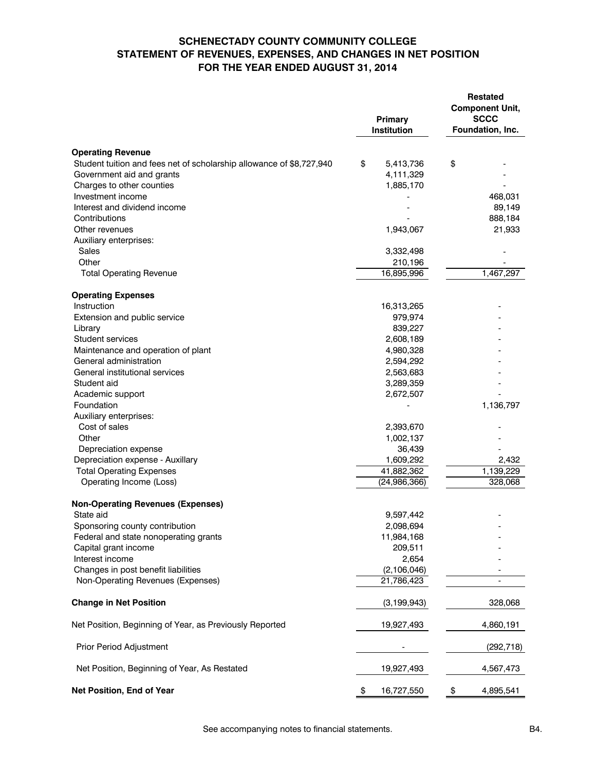# **SCHENECTADY COUNTY COMMUNITY COLLEGE STATEMENT OF REVENUES, EXPENSES, AND CHANGES IN NET POSITION FOR THE YEAR ENDED AUGUST 31, 2014**

|                                                                      | <b>Primary</b><br>Institution | <b>Restated</b><br><b>Component Unit,</b><br><b>SCCC</b><br>Foundation, Inc. |  |  |
|----------------------------------------------------------------------|-------------------------------|------------------------------------------------------------------------------|--|--|
| <b>Operating Revenue</b>                                             |                               |                                                                              |  |  |
| Student tuition and fees net of scholarship allowance of \$8,727,940 | \$<br>5,413,736               | \$                                                                           |  |  |
| Government aid and grants                                            | 4,111,329                     |                                                                              |  |  |
| Charges to other counties                                            | 1,885,170                     |                                                                              |  |  |
| Investment income                                                    |                               | 468,031                                                                      |  |  |
| Interest and dividend income                                         |                               | 89,149                                                                       |  |  |
| Contributions                                                        |                               | 888,184                                                                      |  |  |
| Other revenues                                                       | 1,943,067                     | 21,933                                                                       |  |  |
| Auxiliary enterprises:                                               |                               |                                                                              |  |  |
| Sales                                                                | 3,332,498                     |                                                                              |  |  |
| Other                                                                | 210,196                       |                                                                              |  |  |
| <b>Total Operating Revenue</b>                                       | 16,895,996                    | 1,467,297                                                                    |  |  |
| <b>Operating Expenses</b>                                            |                               |                                                                              |  |  |
| Instruction                                                          | 16,313,265                    |                                                                              |  |  |
| Extension and public service                                         | 979,974                       |                                                                              |  |  |
| Library                                                              | 839,227                       |                                                                              |  |  |
| <b>Student services</b>                                              | 2,608,189                     |                                                                              |  |  |
| Maintenance and operation of plant                                   | 4,980,328                     |                                                                              |  |  |
| General administration                                               | 2,594,292                     |                                                                              |  |  |
| General institutional services                                       | 2,563,683                     |                                                                              |  |  |
| Student aid                                                          | 3,289,359                     |                                                                              |  |  |
| Academic support                                                     | 2,672,507                     |                                                                              |  |  |
| Foundation                                                           |                               | 1,136,797                                                                    |  |  |
| Auxiliary enterprises:                                               |                               |                                                                              |  |  |
| Cost of sales                                                        | 2,393,670                     |                                                                              |  |  |
| Other                                                                | 1,002,137                     |                                                                              |  |  |
| Depreciation expense                                                 | 36,439                        |                                                                              |  |  |
| Depreciation expense - Auxillary                                     | 1,609,292                     | 2,432                                                                        |  |  |
| <b>Total Operating Expenses</b>                                      | 41,882,362                    | 1,139,229                                                                    |  |  |
| Operating Income (Loss)                                              | (24,986,366)                  | 328,068                                                                      |  |  |
|                                                                      |                               |                                                                              |  |  |
| <b>Non-Operating Revenues (Expenses)</b>                             |                               |                                                                              |  |  |
| State aid                                                            | 9,597,442                     |                                                                              |  |  |
| Sponsoring county contribution                                       | 2,098,694                     |                                                                              |  |  |
| Federal and state nonoperating grants                                | 11,984,168                    |                                                                              |  |  |
| Capital grant income                                                 | 209,511                       |                                                                              |  |  |
| Interest income                                                      | 2,654                         |                                                                              |  |  |
| Changes in post benefit liabilities                                  | (2, 106, 046)                 |                                                                              |  |  |
| Non-Operating Revenues (Expenses)                                    | 21,786,423                    |                                                                              |  |  |
| <b>Change in Net Position</b>                                        | (3, 199, 943)                 | 328,068                                                                      |  |  |
| Net Position, Beginning of Year, as Previously Reported              | 19,927,493                    | 4,860,191                                                                    |  |  |
| Prior Period Adjustment                                              |                               | (292, 718)                                                                   |  |  |
| Net Position, Beginning of Year, As Restated                         | 19,927,493                    | 4,567,473                                                                    |  |  |
| Net Position, End of Year                                            | \$<br>16,727,550              | \$<br>4,895,541                                                              |  |  |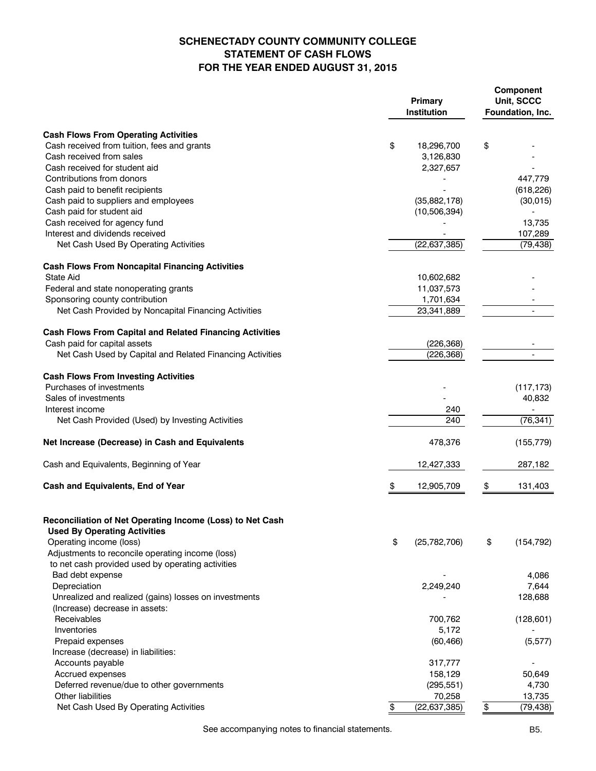# **SCHENECTADY COUNTY COMMUNITY COLLEGE STATEMENT OF CASH FLOWS FOR THE YEAR ENDED AUGUST 31, 2015**

|                                                                                         |    | <b>Primary</b><br>Institution | Component<br>Unit, SCCC<br>Foundation, Inc.<br>447,779<br>(618, 226)<br>(30, 015)<br>13,735<br>107,289<br>(79, 438) |  |
|-----------------------------------------------------------------------------------------|----|-------------------------------|---------------------------------------------------------------------------------------------------------------------|--|
| <b>Cash Flows From Operating Activities</b>                                             |    |                               |                                                                                                                     |  |
| Cash received from tuition, fees and grants                                             | \$ | 18,296,700                    | \$                                                                                                                  |  |
| Cash received from sales                                                                |    | 3,126,830                     |                                                                                                                     |  |
| Cash received for student aid                                                           |    | 2,327,657                     |                                                                                                                     |  |
| Contributions from donors                                                               |    |                               |                                                                                                                     |  |
| Cash paid to benefit recipients                                                         |    |                               |                                                                                                                     |  |
| Cash paid to suppliers and employees                                                    |    | (35,882,178)                  |                                                                                                                     |  |
| Cash paid for student aid                                                               |    | (10, 506, 394)                |                                                                                                                     |  |
| Cash received for agency fund                                                           |    |                               |                                                                                                                     |  |
| Interest and dividends received                                                         |    |                               |                                                                                                                     |  |
| Net Cash Used By Operating Activities                                                   |    | (22, 637, 385)                |                                                                                                                     |  |
| <b>Cash Flows From Noncapital Financing Activities</b>                                  |    |                               |                                                                                                                     |  |
| <b>State Aid</b>                                                                        |    | 10,602,682                    |                                                                                                                     |  |
| Federal and state nonoperating grants                                                   |    | 11,037,573                    |                                                                                                                     |  |
| Sponsoring county contribution                                                          |    | 1,701,634                     |                                                                                                                     |  |
| Net Cash Provided by Noncapital Financing Activities                                    |    | 23,341,889                    |                                                                                                                     |  |
| <b>Cash Flows From Capital and Related Financing Activities</b>                         |    |                               |                                                                                                                     |  |
| Cash paid for capital assets                                                            |    | (226, 368)                    |                                                                                                                     |  |
| Net Cash Used by Capital and Related Financing Activities                               |    | (226, 368)                    |                                                                                                                     |  |
| <b>Cash Flows From Investing Activities</b>                                             |    |                               |                                                                                                                     |  |
| Purchases of investments                                                                |    |                               | (117, 173)                                                                                                          |  |
| Sales of investments                                                                    |    |                               | 40,832                                                                                                              |  |
| Interest income                                                                         |    | 240                           |                                                                                                                     |  |
| Net Cash Provided (Used) by Investing Activities                                        |    | 240                           | (76, 341)                                                                                                           |  |
| Net Increase (Decrease) in Cash and Equivalents                                         |    | 478,376                       | (155, 779)                                                                                                          |  |
| Cash and Equivalents, Beginning of Year                                                 |    | 12,427,333                    | 287,182                                                                                                             |  |
| <b>Cash and Equivalents, End of Year</b>                                                |    | 12,905,709                    | \$<br>131,403                                                                                                       |  |
| Reconciliation of Net Operating Income (Loss) to Net Cash                               |    |                               |                                                                                                                     |  |
| <b>Used By Operating Activities</b>                                                     |    |                               |                                                                                                                     |  |
| Operating income (loss)                                                                 | \$ | (25, 782, 706)                | \$<br>(154, 792)                                                                                                    |  |
| Adjustments to reconcile operating income (loss)                                        |    |                               |                                                                                                                     |  |
| to net cash provided used by operating activities                                       |    |                               |                                                                                                                     |  |
| Bad debt expense<br>Depreciation                                                        |    |                               | 4,086                                                                                                               |  |
|                                                                                         |    | 2,249,240                     | 7,644                                                                                                               |  |
| Unrealized and realized (gains) losses on investments<br>(Increase) decrease in assets: |    |                               | 128,688                                                                                                             |  |
| Receivables                                                                             |    | 700,762                       | (128, 601)                                                                                                          |  |
| Inventories                                                                             |    | 5,172                         |                                                                                                                     |  |
| Prepaid expenses                                                                        |    | (60, 466)                     | (5, 577)                                                                                                            |  |
| Increase (decrease) in liabilities:                                                     |    |                               |                                                                                                                     |  |
| Accounts payable                                                                        |    |                               |                                                                                                                     |  |
| Accrued expenses                                                                        |    | 317,777<br>158,129            | 50,649                                                                                                              |  |
| Deferred revenue/due to other governments                                               |    | (295, 551)                    | 4,730                                                                                                               |  |
| <b>Other liabilities</b>                                                                |    | 70,258                        | 13,735                                                                                                              |  |
| Net Cash Used By Operating Activities                                                   | \$ | (22, 637, 385)                | \$<br>(79,438)                                                                                                      |  |
|                                                                                         |    |                               |                                                                                                                     |  |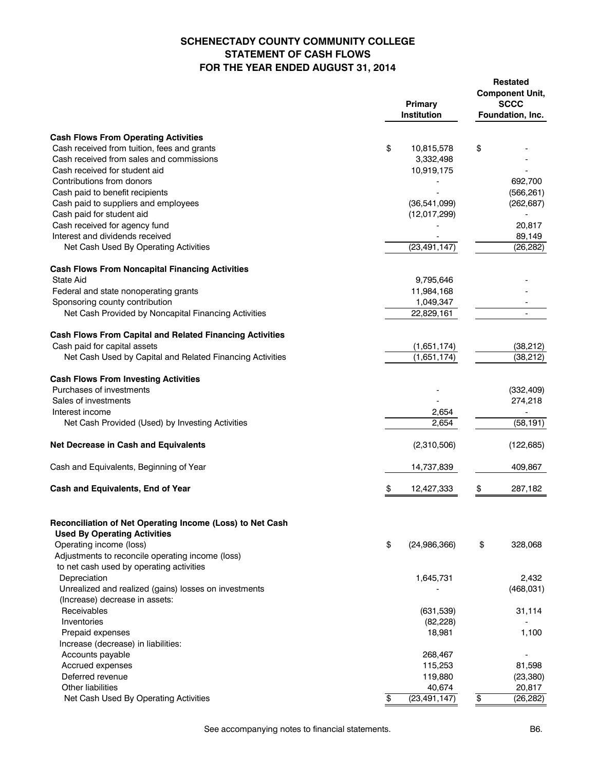# **SCHENECTADY COUNTY COMMUNITY COLLEGE STATEMENT OF CASH FLOWS FOR THE YEAR ENDED AUGUST 31, 2014**

|                                                                                                  | <b>Primary</b><br><b>Institution</b> | <b>Restated</b><br><b>Component Unit,</b><br><b>SCCC</b><br>Foundation, Inc. |
|--------------------------------------------------------------------------------------------------|--------------------------------------|------------------------------------------------------------------------------|
| <b>Cash Flows From Operating Activities</b>                                                      |                                      |                                                                              |
| Cash received from tuition, fees and grants                                                      | \$<br>10,815,578                     | \$                                                                           |
| Cash received from sales and commissions                                                         | 3,332,498                            |                                                                              |
| Cash received for student aid                                                                    | 10,919,175                           |                                                                              |
| Contributions from donors                                                                        |                                      | 692,700                                                                      |
| Cash paid to benefit recipients                                                                  |                                      | (566, 261)                                                                   |
| Cash paid to suppliers and employees                                                             | (36, 541, 099)                       | (262, 687)                                                                   |
| Cash paid for student aid                                                                        | (12,017,299)                         |                                                                              |
| Cash received for agency fund                                                                    |                                      | 20,817                                                                       |
| Interest and dividends received                                                                  |                                      | 89,149                                                                       |
| Net Cash Used By Operating Activities                                                            | (23, 491, 147)                       | (26, 282)                                                                    |
| <b>Cash Flows From Noncapital Financing Activities</b>                                           |                                      |                                                                              |
| <b>State Aid</b>                                                                                 | 9,795,646                            |                                                                              |
| Federal and state nonoperating grants                                                            | 11,984,168                           |                                                                              |
| Sponsoring county contribution                                                                   | 1,049,347                            |                                                                              |
| Net Cash Provided by Noncapital Financing Activities                                             | 22,829,161                           |                                                                              |
| <b>Cash Flows From Capital and Related Financing Activities</b>                                  |                                      |                                                                              |
| Cash paid for capital assets                                                                     | (1,651,174)                          | (38, 212)                                                                    |
| Net Cash Used by Capital and Related Financing Activities                                        | (1,651,174)                          | (38, 212)                                                                    |
| <b>Cash Flows From Investing Activities</b>                                                      |                                      |                                                                              |
| Purchases of investments                                                                         |                                      | (332, 409)                                                                   |
| Sales of investments                                                                             |                                      | 274,218                                                                      |
| Interest income                                                                                  | 2,654                                |                                                                              |
| Net Cash Provided (Used) by Investing Activities                                                 | 2,654                                | (58, 191)                                                                    |
| Net Decrease in Cash and Equivalents                                                             | (2,310,506)                          | (122, 685)                                                                   |
| Cash and Equivalents, Beginning of Year                                                          | 14,737,839                           | 409,867                                                                      |
| <b>Cash and Equivalents, End of Year</b>                                                         | \$<br>12,427,333                     | \$<br>287,182                                                                |
| Reconciliation of Net Operating Income (Loss) to Net Cash<br><b>Used By Operating Activities</b> |                                      |                                                                              |
| Operating income (loss)                                                                          | \$<br>(24,986,366)                   | \$<br>328,068                                                                |
| Adjustments to reconcile operating income (loss)                                                 |                                      |                                                                              |
| to net cash used by operating activities                                                         |                                      |                                                                              |
| Depreciation                                                                                     | 1,645,731                            | 2,432                                                                        |
| Unrealized and realized (gains) losses on investments                                            |                                      | (468, 031)                                                                   |
| (Increase) decrease in assets:                                                                   |                                      |                                                                              |
| Receivables                                                                                      | (631, 539)                           | 31,114                                                                       |
| Inventories                                                                                      | (82, 228)                            |                                                                              |
| Prepaid expenses                                                                                 | 18,981                               | 1,100                                                                        |
| Increase (decrease) in liabilities:                                                              |                                      |                                                                              |
| Accounts payable                                                                                 | 268,467                              |                                                                              |
| Accrued expenses                                                                                 | 115,253                              | 81,598                                                                       |
| Deferred revenue                                                                                 | 119,880                              | (23, 380)                                                                    |
| <b>Other liabilities</b>                                                                         | 40,674                               | 20,817                                                                       |
| Net Cash Used By Operating Activities                                                            | \$<br>(23, 491, 147)                 | \$<br>(26, 282)                                                              |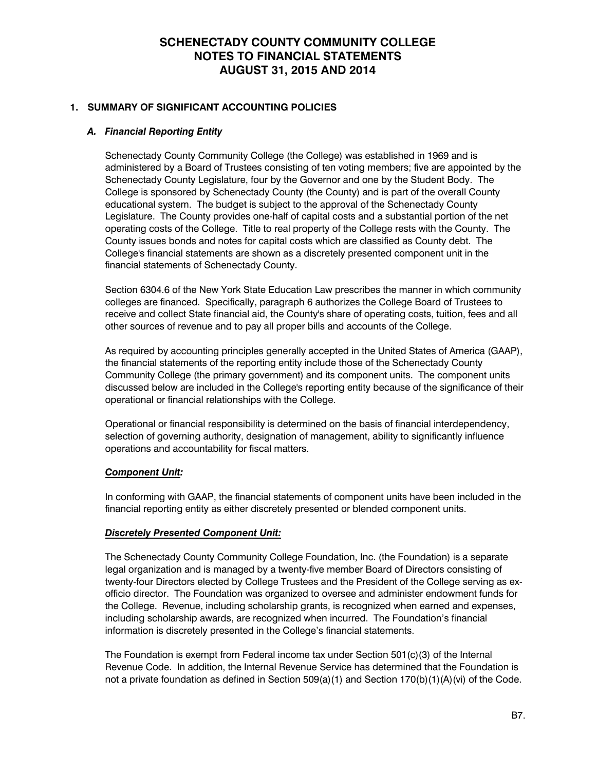## **1. SUMMARY OF SIGNIFICANT ACCOUNTING POLICIES**

## *A. Financial Reporting Entity*

Schenectady County Community College (the College) was established in 1969 and is administered by a Board of Trustees consisting of ten voting members; five are appointed by the Schenectady County Legislature, four by the Governor and one by the Student Body. The College is sponsored by Schenectady County (the County) and is part of the overall County educational system. The budget is subject to the approval of the Schenectady County Legislature. The County provides one-half of capital costs and a substantial portion of the net operating costs of the College. Title to real property of the College rests with the County. The County issues bonds and notes for capital costs which are classified as County debt. The College's financial statements are shown as a discretely presented component unit in the financial statements of Schenectady County.

Section 6304.6 of the New York State Education Law prescribes the manner in which community colleges are financed. Specifically, paragraph 6 authorizes the College Board of Trustees to receive and collect State financial aid, the County's share of operating costs, tuition, fees and all other sources of revenue and to pay all proper bills and accounts of the College.

As required by accounting principles generally accepted in the United States of America (GAAP), the financial statements of the reporting entity include those of the Schenectady County Community College (the primary government) and its component units. The component units discussed below are included in the College's reporting entity because of the significance of their operational or financial relationships with the College.

Operational or financial responsibility is determined on the basis of financial interdependency, selection of governing authority, designation of management, ability to significantly influence operations and accountability for fiscal matters.

## *Component Unit:*

In conforming with GAAP, the financial statements of component units have been included in the financial reporting entity as either discretely presented or blended component units.

## *Discretely Presented Component Unit:*

The Schenectady County Community College Foundation, Inc. (the Foundation) is a separate legal organization and is managed by a twenty-five member Board of Directors consisting of twenty-four Directors elected by College Trustees and the President of the College serving as exofficio director. The Foundation was organized to oversee and administer endowment funds for the College. Revenue, including scholarship grants, is recognized when earned and expenses, including scholarship awards, are recognized when incurred. The Foundation's financial information is discretely presented in the College's financial statements.

The Foundation is exempt from Federal income tax under Section 501(c)(3) of the Internal Revenue Code. In addition, the Internal Revenue Service has determined that the Foundation is not a private foundation as defined in Section 509(a)(1) and Section 170(b)(1)(A)(vi) of the Code.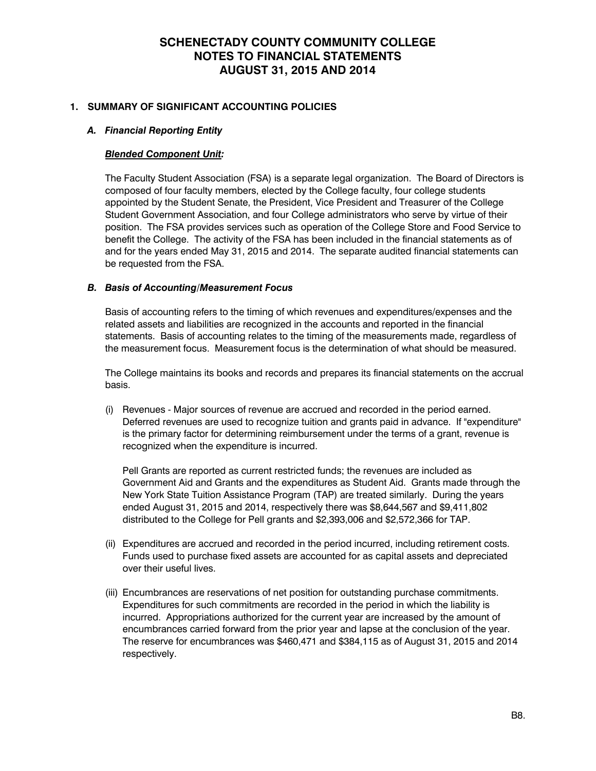## **1. SUMMARY OF SIGNIFICANT ACCOUNTING POLICIES**

## *A. Financial Reporting Entity*

## *Blended Component Unit:*

The Faculty Student Association (FSA) is a separate legal organization. The Board of Directors is composed of four faculty members, elected by the College faculty, four college students appointed by the Student Senate, the President, Vice President and Treasurer of the College Student Government Association, and four College administrators who serve by virtue of their position. The FSA provides services such as operation of the College Store and Food Service to benefit the College. The activity of the FSA has been included in the financial statements as of and for the years ended May 31, 2015 and 2014. The separate audited financial statements can be requested from the FSA.

## *B. Basis of Accounting/Measurement Focus*

Basis of accounting refers to the timing of which revenues and expenditures/expenses and the related assets and liabilities are recognized in the accounts and reported in the financial statements. Basis of accounting relates to the timing of the measurements made, regardless of the measurement focus. Measurement focus is the determination of what should be measured.

The College maintains its books and records and prepares its financial statements on the accrual basis.

(i) Revenues - Major sources of revenue are accrued and recorded in the period earned. Deferred revenues are used to recognize tuition and grants paid in advance. If "expenditure" is the primary factor for determining reimbursement under the terms of a grant, revenue is recognized when the expenditure is incurred.

Pell Grants are reported as current restricted funds; the revenues are included as Government Aid and Grants and the expenditures as Student Aid. Grants made through the New York State Tuition Assistance Program (TAP) are treated similarly. During the years ended August 31, 2015 and 2014, respectively there was \$8,644,567 and \$9,411,802 distributed to the College for Pell grants and \$2,393,006 and \$2,572,366 for TAP.

- (ii) Expenditures are accrued and recorded in the period incurred, including retirement costs. Funds used to purchase fixed assets are accounted for as capital assets and depreciated over their useful lives.
- (iii) Encumbrances are reservations of net position for outstanding purchase commitments. Expenditures for such commitments are recorded in the period in which the liability is incurred. Appropriations authorized for the current year are increased by the amount of encumbrances carried forward from the prior year and lapse at the conclusion of the year. The reserve for encumbrances was \$460,471 and \$384,115 as of August 31, 2015 and 2014 respectively.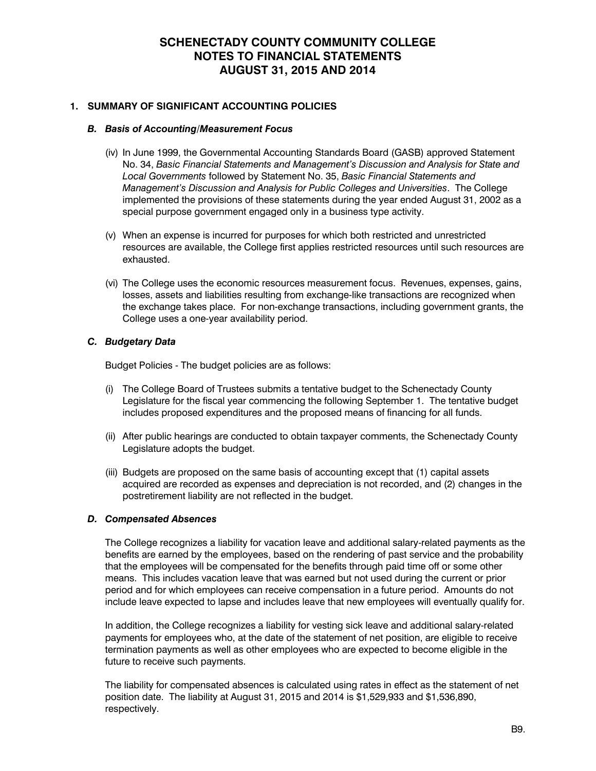## **1. SUMMARY OF SIGNIFICANT ACCOUNTING POLICIES**

### *B. Basis of Accounting/Measurement Focus*

- (iv) In June 1999, the Governmental Accounting Standards Board (GASB) approved Statement No. 34, *Basic Financial Statements and Management's Discussion and Analysis for State and Local Governments* followed by Statement No. 35, *Basic Financial Statements and Management's Discussion and Analysis for Public Colleges and Universities*. The College implemented the provisions of these statements during the year ended August 31, 2002 as a special purpose government engaged only in a business type activity.
- (v) When an expense is incurred for purposes for which both restricted and unrestricted resources are available, the College first applies restricted resources until such resources are exhausted.
- (vi) The College uses the economic resources measurement focus. Revenues, expenses, gains, losses, assets and liabilities resulting from exchange-like transactions are recognized when the exchange takes place. For non-exchange transactions, including government grants, the College uses a one-year availability period.

### *C. Budgetary Data*

Budget Policies - The budget policies are as follows:

- (i) The College Board of Trustees submits a tentative budget to the Schenectady County Legislature for the fiscal year commencing the following September 1. The tentative budget includes proposed expenditures and the proposed means of financing for all funds.
- (ii) After public hearings are conducted to obtain taxpayer comments, the Schenectady County Legislature adopts the budget.
- (iii) Budgets are proposed on the same basis of accounting except that (1) capital assets acquired are recorded as expenses and depreciation is not recorded, and (2) changes in the postretirement liability are not reflected in the budget.

### *D. Compensated Absences*

The College recognizes a liability for vacation leave and additional salary-related payments as the benefits are earned by the employees, based on the rendering of past service and the probability that the employees will be compensated for the benefits through paid time off or some other means. This includes vacation leave that was earned but not used during the current or prior period and for which employees can receive compensation in a future period. Amounts do not include leave expected to lapse and includes leave that new employees will eventually qualify for.

In addition, the College recognizes a liability for vesting sick leave and additional salary-related payments for employees who, at the date of the statement of net position, are eligible to receive termination payments as well as other employees who are expected to become eligible in the future to receive such payments.

The liability for compensated absences is calculated using rates in effect as the statement of net position date. The liability at August 31, 2015 and 2014 is \$1,529,933 and \$1,536,890, respectively.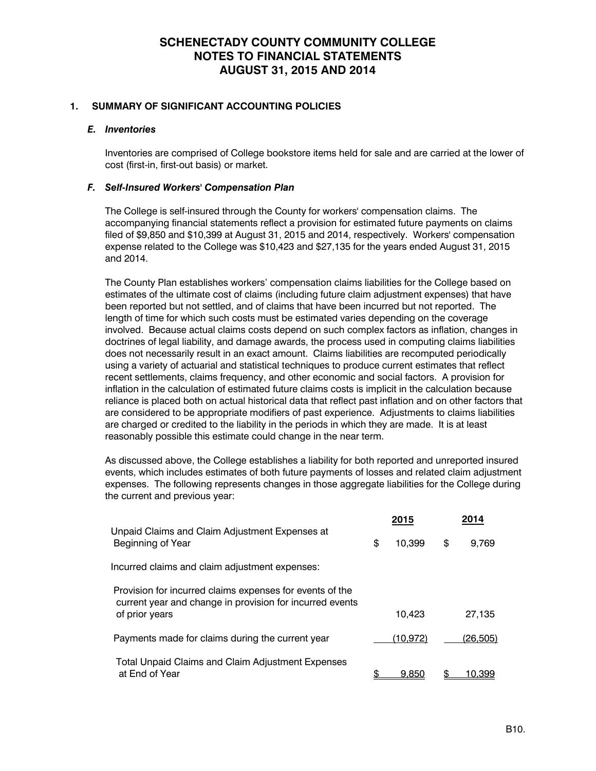## **1. SUMMARY OF SIGNIFICANT ACCOUNTING POLICIES**

## *E. Inventories*

Inventories are comprised of College bookstore items held for sale and are carried at the lower of cost (first-in, first-out basis) or market.

## *F. Self-Insured Workers' Compensation Plan*

The College is self-insured through the County for workers' compensation claims. The accompanying financial statements reflect a provision for estimated future payments on claims filed of \$9,850 and \$10,399 at August 31, 2015 and 2014, respectively. Workers' compensation expense related to the College was \$10,423 and \$27,135 for the years ended August 31, 2015 and 2014.

The County Plan establishes workers' compensation claims liabilities for the College based on estimates of the ultimate cost of claims (including future claim adjustment expenses) that have been reported but not settled, and of claims that have been incurred but not reported. The length of time for which such costs must be estimated varies depending on the coverage involved. Because actual claims costs depend on such complex factors as inflation, changes in doctrines of legal liability, and damage awards, the process used in computing claims liabilities does not necessarily result in an exact amount. Claims liabilities are recomputed periodically using a variety of actuarial and statistical techniques to produce current estimates that reflect recent settlements, claims frequency, and other economic and social factors. A provision for inflation in the calculation of estimated future claims costs is implicit in the calculation because reliance is placed both on actual historical data that reflect past inflation and on other factors that are considered to be appropriate modifiers of past experience. Adjustments to claims liabilities are charged or credited to the liability in the periods in which they are made. It is at least reasonably possible this estimate could change in the near term.

As discussed above, the College establishes a liability for both reported and unreported insured events, which includes estimates of both future payments of losses and related claim adjustment expenses. The following represents changes in those aggregate liabilities for the College during the current and previous year:

|                                                                                                                      | 2015         | 2014        |
|----------------------------------------------------------------------------------------------------------------------|--------------|-------------|
| Unpaid Claims and Claim Adjustment Expenses at<br>Beginning of Year                                                  | \$<br>10.399 | \$<br>9,769 |
| Incurred claims and claim adjustment expenses:                                                                       |              |             |
| Provision for incurred claims expenses for events of the<br>current year and change in provision for incurred events |              |             |
| of prior years                                                                                                       | 10.423       | 27.135      |
| Payments made for claims during the current year                                                                     | (10,972)     | (26,505)    |
| <b>Total Unpaid Claims and Claim Adjustment Expenses</b><br>at End of Year                                           | 9.850        | 10.399      |
|                                                                                                                      |              |             |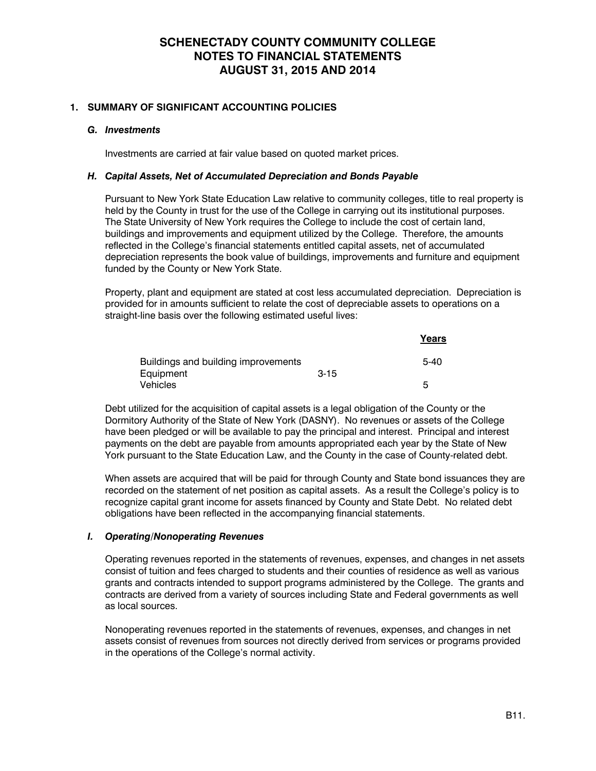## **1. SUMMARY OF SIGNIFICANT ACCOUNTING POLICIES**

#### *G. Investments*

Investments are carried at fair value based on quoted market prices.

### *H. Capital Assets, Net of Accumulated Depreciation and Bonds Payable*

Pursuant to New York State Education Law relative to community colleges, title to real property is held by the County in trust for the use of the College in carrying out its institutional purposes. The State University of New York requires the College to include the cost of certain land, buildings and improvements and equipment utilized by the College. Therefore, the amounts reflected in the College's financial statements entitled capital assets, net of accumulated depreciation represents the book value of buildings, improvements and furniture and equipment funded by the County or New York State.

Property, plant and equipment are stated at cost less accumulated depreciation. Depreciation is provided for in amounts sufficient to relate the cost of depreciable assets to operations on a straight-line basis over the following estimated useful lives:

|                                     |          | Years  |
|-------------------------------------|----------|--------|
| Buildings and building improvements |          | $5-40$ |
| Equipment                           | $3 - 15$ |        |
| <b>Vehicles</b>                     |          | 5      |

Debt utilized for the acquisition of capital assets is a legal obligation of the County or the Dormitory Authority of the State of New York (DASNY). No revenues or assets of the College have been pledged or will be available to pay the principal and interest. Principal and interest payments on the debt are payable from amounts appropriated each year by the State of New York pursuant to the State Education Law, and the County in the case of County-related debt.

When assets are acquired that will be paid for through County and State bond issuances they are recorded on the statement of net position as capital assets. As a result the College's policy is to recognize capital grant income for assets financed by County and State Debt. No related debt obligations have been reflected in the accompanying financial statements.

### *I. Operating/Nonoperating Revenues*

Operating revenues reported in the statements of revenues, expenses, and changes in net assets consist of tuition and fees charged to students and their counties of residence as well as various grants and contracts intended to support programs administered by the College. The grants and contracts are derived from a variety of sources including State and Federal governments as well as local sources.

Nonoperating revenues reported in the statements of revenues, expenses, and changes in net assets consist of revenues from sources not directly derived from services or programs provided in the operations of the College's normal activity.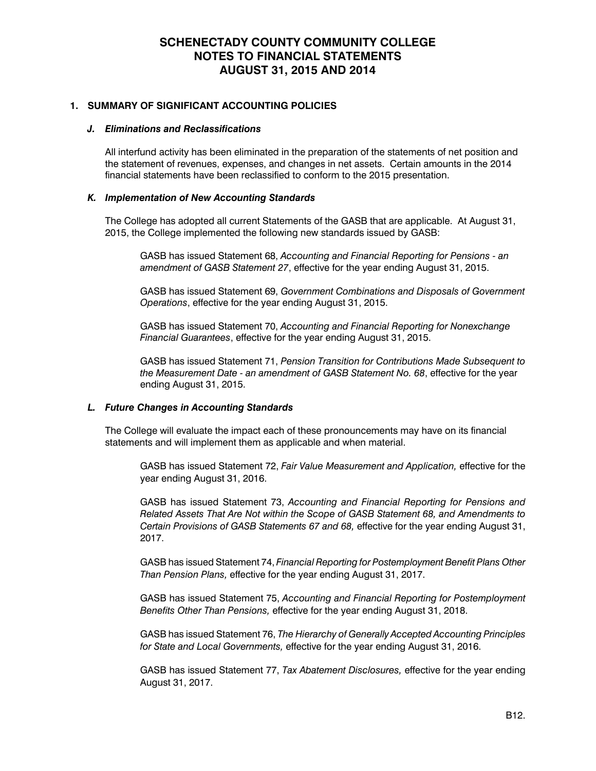### **1. SUMMARY OF SIGNIFICANT ACCOUNTING POLICIES**

### *J. Eliminations and Reclassifications*

All interfund activity has been eliminated in the preparation of the statements of net position and the statement of revenues, expenses, and changes in net assets. Certain amounts in the 2014 financial statements have been reclassified to conform to the 2015 presentation.

### *K. Implementation of New Accounting Standards*

The College has adopted all current Statements of the GASB that are applicable. At August 31, 2015, the College implemented the following new standards issued by GASB:

GASB has issued Statement 68, *Accounting and Financial Reporting for Pensions - an amendment of GASB Statement 27*, effective for the year ending August 31, 2015.

GASB has issued Statement 69, *Government Combinations and Disposals of Government Operations*, effective for the year ending August 31, 2015.

GASB has issued Statement 70, *Accounting and Financial Reporting for Nonexchange Financial Guarantees*, effective for the year ending August 31, 2015.

GASB has issued Statement 71, *Pension Transition for Contributions Made Subsequent to the Measurement Date - an amendment of GASB Statement No. 68*, effective for the year ending August 31, 2015.

### *L. Future Changes in Accounting Standards*

The College will evaluate the impact each of these pronouncements may have on its financial statements and will implement them as applicable and when material.

GASB has issued Statement 72, *Fair Value Measurement and Application,* effective for the year ending August 31, 2016.

GASB has issued Statement 73, *Accounting and Financial Reporting for Pensions and Related Assets That Are Not within the Scope of GASB Statement 68, and Amendments to Certain Provisions of GASB Statements 67 and 68,* effective for the year ending August 31, 2017.

GASB has issued Statement 74, *Financial Reporting for Postemployment Benefit Plans Other Than Pension Plans,* effective for the year ending August 31, 2017.

GASB has issued Statement 75, *Accounting and Financial Reporting for Postemployment Benefits Other Than Pensions,* effective for the year ending August 31, 2018.

GASB has issued Statement 76, *The Hierarchy of Generally Accepted Accounting Principles for State and Local Governments,* effective for the year ending August 31, 2016.

GASB has issued Statement 77, *Tax Abatement Disclosures,* effective for the year ending August 31, 2017.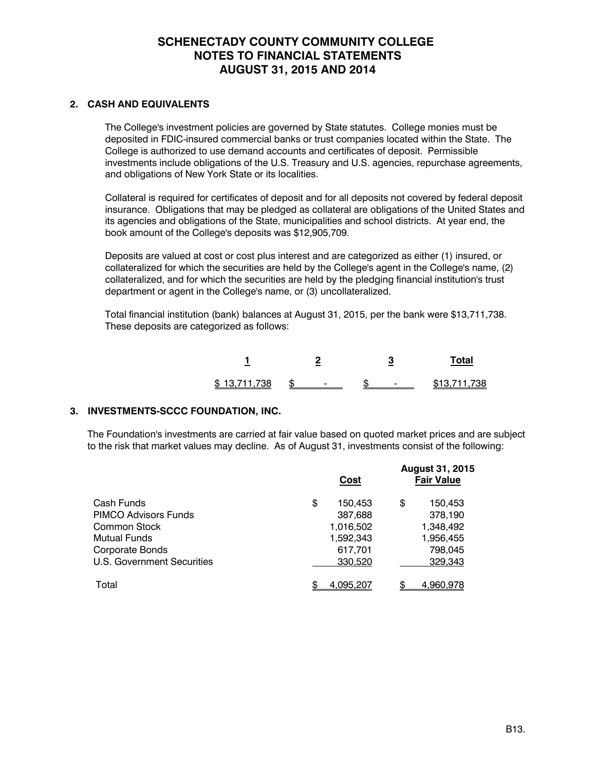### **2. CASH AND EQUIVALENTS**

The College's investment policies are governed by State statutes. College monies must be deposited in FDIC-insured commercial banks or trust companies located within the State. The College is authorized to use demand accounts and certificates of deposit. Permissible investments include obligations of the U.S. Treasury and U.S. agencies, repurchase agreements, and obligations of New York State or its localities.

Collateral is required for certificates of deposit and for all deposits not covered by federal deposit insurance. Obligations that may be pledged as collateral are obligations of the United States and its agencies and obligations of the State, municipalities and school districts. At year end, the book amount of the College's deposits was \$12,905,709.

Deposits are valued at cost or cost plus interest and are categorized as either (1) insured, or collateralized for which the securities are held by the College's agent in the College's name, (2) collateralized, and for which the securities are held by the pledging financial institution's trust department or agent in the College's name, or (3) uncollateralized.

Total financial institution (bank) balances at August 31, 2015, per the bank were \$13,711,738. These deposits are categorized as follows:

| $\sim$       |                          | $\overline{\phantom{a}}$ | Total        |
|--------------|--------------------------|--------------------------|--------------|
| \$13,711,738 | $\overline{\phantom{0}}$ | $\sim$                   | \$13,711,738 |

### **3. INVESTMENTS-SCCC FOUNDATION, INC.**

The Foundation's investments are carried at fair value based on quoted market prices and are subject to the risk that market values may decline. As of August 31, investments consist of the following:

| Cost | <b>August 31, 2015</b><br><b>Fair Value</b>                                     |
|------|---------------------------------------------------------------------------------|
| \$   | \$<br>150,453                                                                   |
|      | 378,190                                                                         |
|      | 1,348,492                                                                       |
|      | 1.956.455                                                                       |
|      | 798.045                                                                         |
|      | 329.343                                                                         |
|      | 4,960,978<br>ዳ                                                                  |
|      | 150.453<br>387,688<br>1,016,502<br>1,592,343<br>617,701<br>330,520<br>4.095.207 |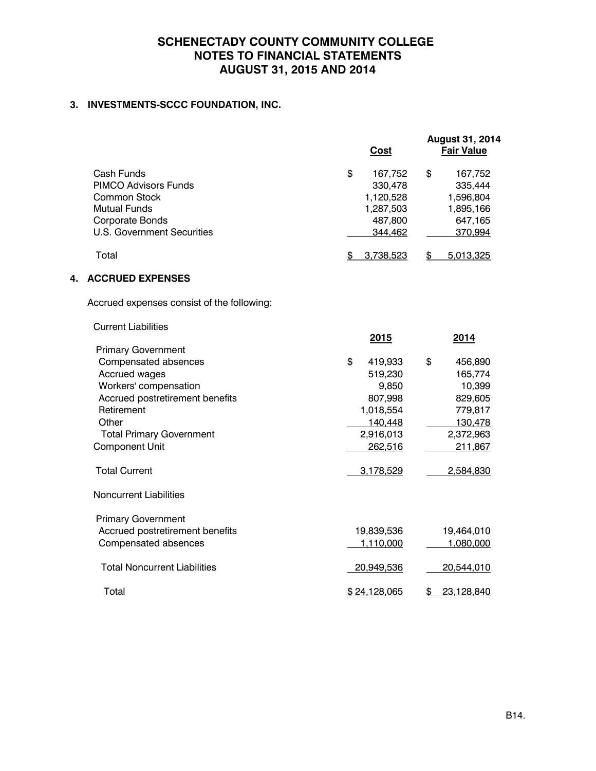# **3. INVESTMENTS-SCCC FOUNDATION, INC.**

|                                            | Cost              | <b>August 31, 2014</b><br><b>Fair Value</b> |
|--------------------------------------------|-------------------|---------------------------------------------|
| Cash Funds                                 | \$<br>167,752     | \$<br>167,752                               |
| <b>PIMCO Advisors Funds</b>                | 330,478           | 335,444                                     |
| <b>Common Stock</b>                        | 1,120,528         | 1,596,804                                   |
| <b>Mutual Funds</b>                        | 1,287,503         | 1,895,166                                   |
| <b>Corporate Bonds</b>                     | 487,800           | 647,165                                     |
| <b>U.S. Government Securities</b>          | 344,462           | 370,994                                     |
| Total                                      | 3,738,523<br>\$   | \$<br>5,013,325                             |
| <b>ACCRUED EXPENSES</b><br>4.              |                   |                                             |
| Accrued expenses consist of the following: |                   |                                             |
| <b>Current Liabilities</b>                 |                   |                                             |
|                                            | 2015              | 2014                                        |
| <b>Primary Government</b>                  |                   |                                             |
| Compensated absences                       | \$<br>419,933     | \$<br>456,890                               |
| Accrued wages                              | 519,230           | 165,774                                     |
| Workers' compensation                      | 9,850             | 10,399                                      |
| Accrued postretirement benefits            | 807,998           | 829,605                                     |
| Retirement                                 | 1,018,554         | 779,817                                     |
| Other                                      | 140,448           | 130,478                                     |
| <b>Total Primary Government</b>            | 2,916,013         | 2,372,963                                   |
| <b>Component Unit</b>                      | 262,516           | 211,867                                     |
| <b>Total Current</b>                       | 3,178,529         | 2,584,830                                   |
| <b>Noncurrent Liabilities</b>              |                   |                                             |
| <b>Primary Government</b>                  |                   |                                             |
| Accrued postretirement benefits            | 19,839,536        | 19,464,010                                  |
| Compensated absences                       | 1,110,000         | 1,080,000                                   |
| <b>Total Noncurrent Liabilities</b>        | <u>20,949,536</u> | <u>20,544,010</u>                           |
| Total                                      | \$24,128,065      | 23,128,840<br>\$                            |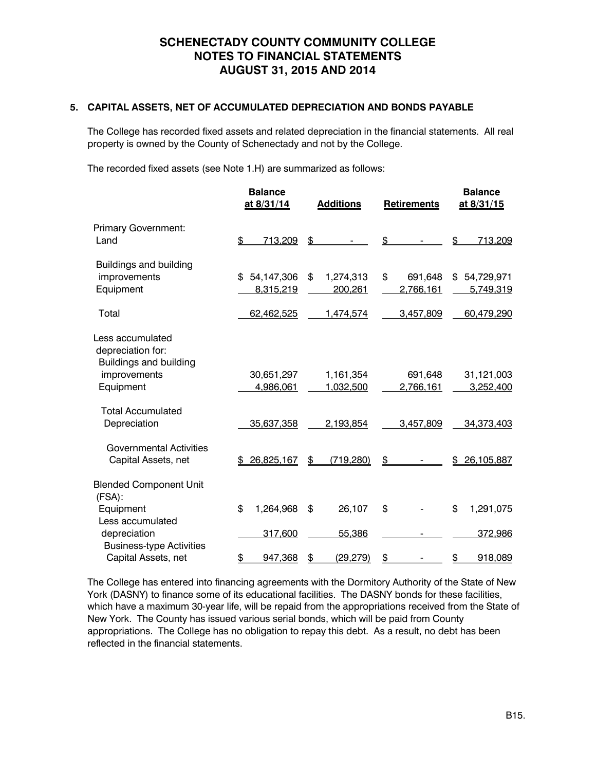## **5. CAPITAL ASSETS, NET OF ACCUMULATED DEPRECIATION AND BONDS PAYABLE**

The College has recorded fixed assets and related depreciation in the financial statements. All real property is owned by the County of Schenectady and not by the College.

The recorded fixed assets (see Note 1.H) are summarized as follows:

|                                                                        | <b>Balance</b><br>at 8/31/14 | <b>Additions</b> | <b>Retirements</b> | <b>Balance</b><br>at 8/31/15 |
|------------------------------------------------------------------------|------------------------------|------------------|--------------------|------------------------------|
| <b>Primary Government:</b>                                             |                              |                  |                    |                              |
| Land                                                                   | $\frac{2}{3}$<br>713,209     | $\frac{2}{3}$    | \$                 | 713,209<br>\$                |
| <b>Buildings and building</b>                                          |                              |                  |                    |                              |
| improvements                                                           | 54,147,306<br>\$             | 1,274,313<br>\$  | \$<br>691,648      | 54,729,971<br>\$             |
| Equipment                                                              | 8,315,219                    | 200,261          | 2,766,161          | 5,749,319                    |
| Total                                                                  | 62,462,525                   | 1,474,574        | 3,457,809          | 60,479,290                   |
| Less accumulated<br>depreciation for:<br><b>Buildings and building</b> |                              |                  |                    |                              |
| improvements                                                           | 30,651,297                   | 1,161,354        | 691,648            | 31,121,003                   |
| Equipment                                                              | 4,986,061                    | 1,032,500        | 2,766,161          | 3,252,400                    |
| <b>Total Accumulated</b>                                               |                              |                  |                    |                              |
| Depreciation                                                           | 35,637,358                   | 2,193,854        | 3,457,809          | 34,373,403                   |
| <b>Governmental Activities</b>                                         |                              |                  |                    |                              |
| Capital Assets, net                                                    | 26,825,167                   | (719, 280)<br>\$ | \$                 | 26,105,887<br>\$             |
| <b>Blended Component Unit</b><br>(FSA):                                |                              |                  |                    |                              |
| Equipment<br>Less accumulated                                          | \$<br>1,264,968              | 26,107<br>\$     | \$                 | \$<br>1,291,075              |
| depreciation                                                           | 317,600                      | 55,386           |                    | 372,986                      |
| <b>Business-type Activities</b><br>Capital Assets, net                 | 947,368<br>\$                | (29, 279)<br>\$  | \$                 | 918,089<br>\$                |

The College has entered into financing agreements with the Dormitory Authority of the State of New York (DASNY) to finance some of its educational facilities. The DASNY bonds for these facilities, which have a maximum 30-year life, will be repaid from the appropriations received from the State of New York. The County has issued various serial bonds, which will be paid from County appropriations. The College has no obligation to repay this debt. As a result, no debt has been reflected in the financial statements.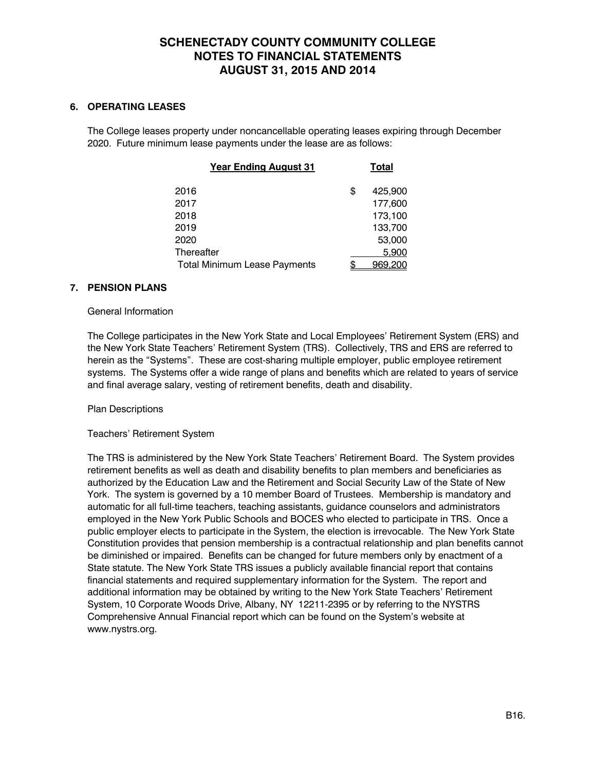## **6. OPERATING LEASES**

 The College leases property under noncancellable operating leases expiring through December 2020. Future minimum lease payments under the lease are as follows:

| <b>Year Ending August 31</b>        | <b>Total</b>  |
|-------------------------------------|---------------|
| 2016                                | \$<br>425,900 |
| 2017                                | 177,600       |
| 2018                                | 173,100       |
| 2019                                | 133,700       |
| 2020                                | 53,000        |
| Thereafter                          | 5.900         |
| <b>Total Minimum Lease Payments</b> | 969.200       |
|                                     |               |

## **7. PENSION PLANS**

## General Information

 The College participates in the New York State and Local Employees' Retirement System (ERS) and the New York State Teachers' Retirement System (TRS). Collectively, TRS and ERS are referred to herein as the "Systems". These are cost-sharing multiple employer, public employee retirement systems. The Systems offer a wide range of plans and benefits which are related to years of service and final average salary, vesting of retirement benefits, death and disability.

### Plan Descriptions

### Teachers' Retirement System

 The TRS is administered by the New York State Teachers' Retirement Board. The System provides retirement benefits as well as death and disability benefits to plan members and beneficiaries as authorized by the Education Law and the Retirement and Social Security Law of the State of New York. The system is governed by a 10 member Board of Trustees. Membership is mandatory and automatic for all full-time teachers, teaching assistants, guidance counselors and administrators employed in the New York Public Schools and BOCES who elected to participate in TRS. Once a public employer elects to participate in the System, the election is irrevocable. The New York State Constitution provides that pension membership is a contractual relationship and plan benefits cannot be diminished or impaired. Benefits can be changed for future members only by enactment of a State statute. The New York State TRS issues a publicly available financial report that contains financial statements and required supplementary information for the System. The report and additional information may be obtained by writing to the New York State Teachers' Retirement System, 10 Corporate Woods Drive, Albany, NY 12211-2395 or by referring to the NYSTRS Comprehensive Annual Financial report which can be found on the System's website at www.nystrs.org.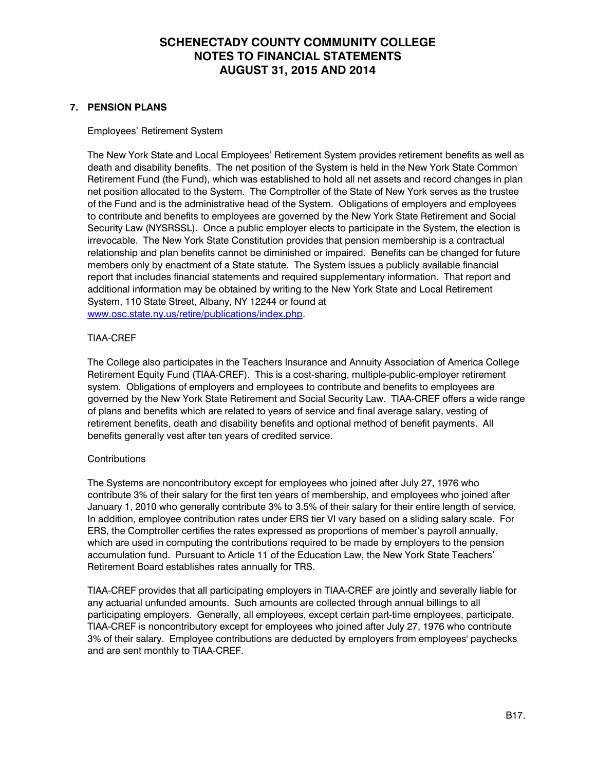## **7. PENSION PLANS**

### Employees' Retirement System

The New York State and Local Employees' Retirement System provides retirement benefits as well as death and disability benefits. The net position of the System is held in the New York State Common Retirement Fund (the Fund), which was established to hold all net assets and record changes in plan net position allocated to the System. The Comptroller of the State of New York serves as the trustee of the Fund and is the administrative head of the System. Obligations of employers and employees to contribute and benefits to employees are governed by the New York State Retirement and Social Security Law (NYSRSSL). Once a public employer elects to participate in the System, the election is irrevocable. The New York State Constitution provides that pension membership is a contractual relationship and plan benefits cannot be diminished or impaired. Benefits can be changed for future members only by enactment of a State statute. The System issues a publicly available financial report that includes financial statements and required supplementary information. That report and additional information may be obtained by writing to the New York State and Local Retirement System, 110 State Street, Albany, NY 12244 or found at www.osc.state.ny.us/retire/publications/index.php.

## TIAA-CREF

The College also participates in the Teachers Insurance and Annuity Association of America College Retirement Equity Fund (TIAA-CREF). This is a cost-sharing, multiple-public-employer retirement system. Obligations of employers and employees to contribute and benefits to employees are governed by the New York State Retirement and Social Security Law. TIAA-CREF offers a wide range of plans and benefits which are related to years of service and final average salary, vesting of retirement benefits, death and disability benefits and optional method of benefit payments. All benefits generally vest after ten years of credited service.

### **Contributions**

The Systems are noncontributory except for employees who joined after July 27, 1976 who contribute 3% of their salary for the first ten years of membership, and employees who joined after January 1, 2010 who generally contribute 3% to 3.5% of their salary for their entire length of service. In addition, employee contribution rates under ERS tier VI vary based on a sliding salary scale. For ERS, the Comptroller certifies the rates expressed as proportions of member's payroll annually, which are used in computing the contributions required to be made by employers to the pension accumulation fund. Pursuant to Article 11 of the Education Law, the New York State Teachers' Retirement Board establishes rates annually for TRS.

TIAA-CREF provides that all participating employers in TIAA-CREF are jointly and severally liable for any actuarial unfunded amounts. Such amounts are collected through annual billings to all participating employers. Generally, all employees, except certain part-time employees, participate. TIAA-CREF is noncontributory except for employees who joined after July 27, 1976 who contribute 3% of their salary. Employee contributions are deducted by employers from employees' paychecks and are sent monthly to TIAA-CREF.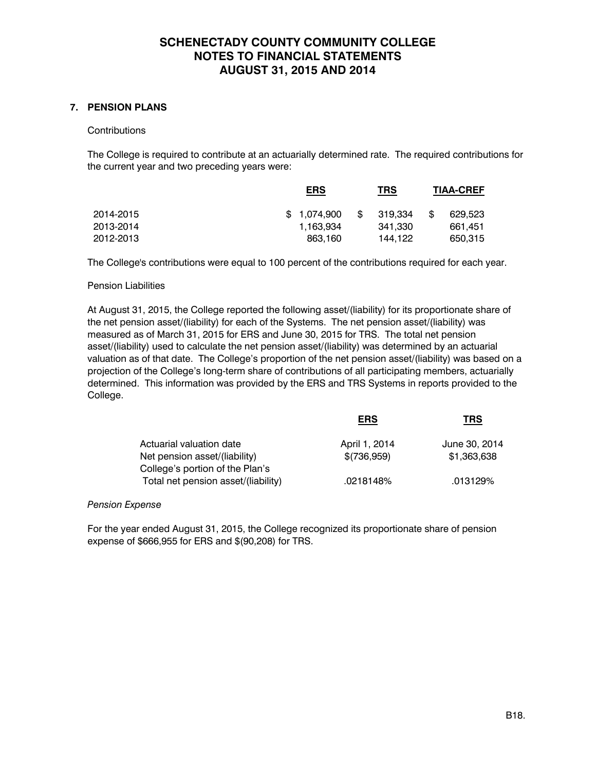## **7. PENSION PLANS**

### **Contributions**

The College is required to contribute at an actuarially determined rate. The required contributions for the current year and two preceding years were:

|           | <b>ERS</b>  |    |         |    | <b>TIAA-CREF</b> |  |
|-----------|-------------|----|---------|----|------------------|--|
| 2014-2015 | \$1.074.900 | \$ | 319.334 | \$ | 629.523          |  |
| 2013-2014 | 1.163.934   |    | 341.330 |    | 661.451          |  |
| 2012-2013 | 863,160     |    | 144.122 |    | 650.315          |  |

The College's contributions were equal to 100 percent of the contributions required for each year.

#### Pension Liabilities

At August 31, 2015, the College reported the following asset/(liability) for its proportionate share of the net pension asset/(liability) for each of the Systems. The net pension asset/(liability) was measured as of March 31, 2015 for ERS and June 30, 2015 for TRS. The total net pension asset/(liability) used to calculate the net pension asset/(liability) was determined by an actuarial valuation as of that date. The College's proportion of the net pension asset/(liability) was based on a projection of the College's long-term share of contributions of all participating members, actuarially determined. This information was provided by the ERS and TRS Systems in reports provided to the College.

|                                     | <b>ERS</b>    | TRS           |
|-------------------------------------|---------------|---------------|
| Actuarial valuation date            | April 1, 2014 | June 30, 2014 |
| Net pension asset/(liability)       | \$(736,959)   | \$1,363,638   |
| College's portion of the Plan's     |               |               |
| Total net pension asset/(liability) | .0218148%     | .013129%      |

### *Pension Expense*

For the year ended August 31, 2015, the College recognized its proportionate share of pension expense of \$666,955 for ERS and \$(90,208) for TRS.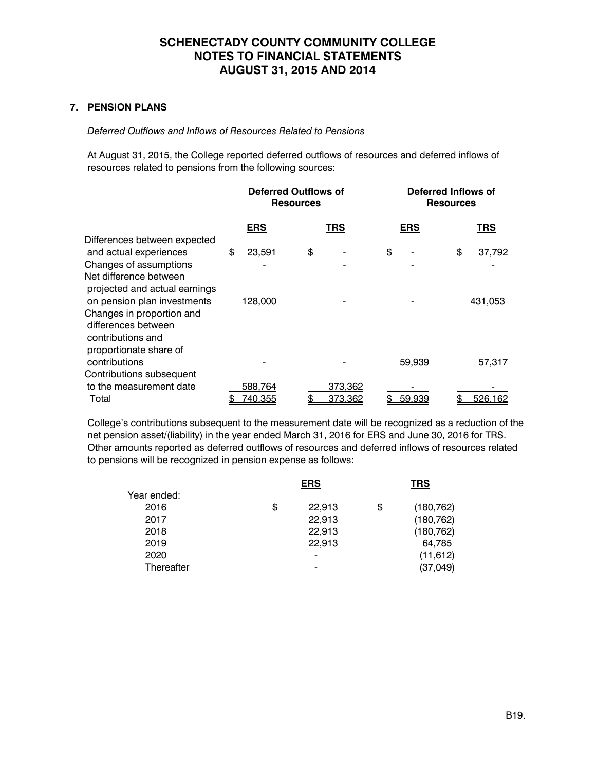## **7. PENSION PLANS**

*Deferred Outflows and Inflows of Resources Related to Pensions* 

At August 31, 2015, the College reported deferred outflows of resources and deferred inflows of resources related to pensions from the following sources:

|                                                                                                                                | Deferred Outflows of<br><b>Resources</b> |                    | Deferred Inflows of<br><b>Resources</b> |                    |    |        |  |    |         |
|--------------------------------------------------------------------------------------------------------------------------------|------------------------------------------|--------------------|-----------------------------------------|--------------------|----|--------|--|----|---------|
|                                                                                                                                |                                          | <b>ERS</b>         |                                         | TRS                |    | ERS    |  |    | TRS     |
| Differences between expected<br>and actual experiences                                                                         | \$                                       | 23,591             | \$                                      |                    | \$ |        |  | \$ | 37,792  |
| Changes of assumptions<br>Net difference between<br>projected and actual earnings                                              |                                          |                    |                                         |                    |    |        |  |    |         |
| on pension plan investments<br>Changes in proportion and<br>differences between<br>contributions and<br>proportionate share of |                                          | 128,000            |                                         |                    |    |        |  |    | 431,053 |
| contributions<br>Contributions subsequent                                                                                      |                                          |                    |                                         |                    |    | 59,939 |  |    | 57,317  |
| to the measurement date<br>Total                                                                                               |                                          | 588,764<br>740,355 |                                         | 373,362<br>373,362 |    | 59,939 |  |    | 526,162 |
|                                                                                                                                |                                          |                    |                                         |                    |    |        |  |    |         |

College's contributions subsequent to the measurement date will be recognized as a reduction of the net pension asset/(liability) in the year ended March 31, 2016 for ERS and June 30, 2016 for TRS. Other amounts reported as deferred outflows of resources and deferred inflows of resources related to pensions will be recognized in pension expense as follows:

|             | <b>ERS</b>               |    |            |  |  |
|-------------|--------------------------|----|------------|--|--|
| Year ended: |                          |    |            |  |  |
| 2016        | \$<br>22,913             | \$ | (180, 762) |  |  |
| 2017        | 22,913                   |    | (180, 762) |  |  |
| 2018        | 22,913                   |    | (180, 762) |  |  |
| 2019        | 22,913                   |    | 64,785     |  |  |
| 2020        | $\overline{\phantom{0}}$ |    | (11, 612)  |  |  |
| Thereafter  | $\overline{\phantom{0}}$ |    | (37,049)   |  |  |
|             |                          |    |            |  |  |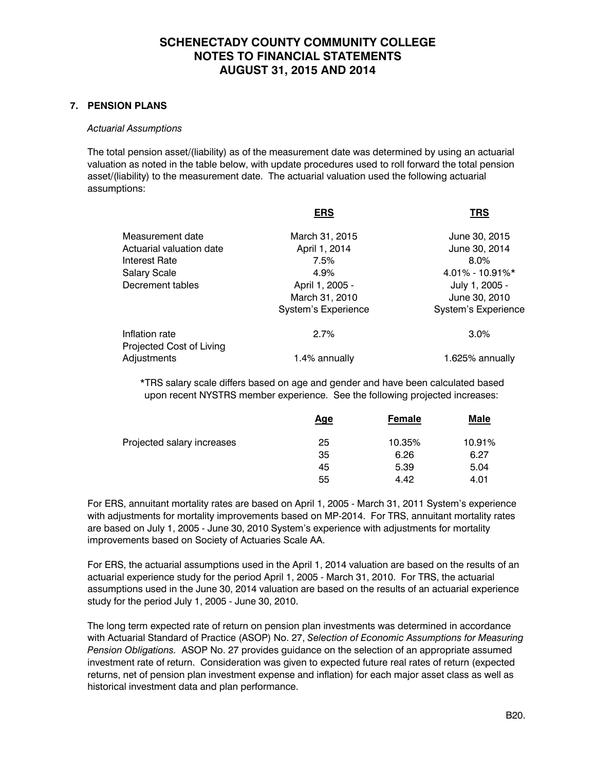## **7. PENSION PLANS**

### *Actuarial Assumptions*

The total pension asset/(liability) as of the measurement date was determined by using an actuarial valuation as noted in the table below, with update procedures used to roll forward the total pension asset/(liability) to the measurement date. The actuarial valuation used the following actuarial assumptions:

|                          | <b>ERS</b>                 | <b>TRS</b>           |
|--------------------------|----------------------------|----------------------|
| Measurement date         | March 31, 2015             | June 30, 2015        |
| Actuarial valuation date | April 1, 2014              | June 30, 2014        |
| Interest Rate            | 7.5%                       | 8.0%                 |
| <b>Salary Scale</b>      | 4.9%                       | $4.01\% - 10.91\%$ * |
| Decrement tables         | April 1, 2005 -            | July 1, 2005 -       |
|                          | March 31, 2010             | June 30, 2010        |
|                          | <b>System's Experience</b> | System's Experience  |
| Inflation rate           | 2.7%                       | 3.0%                 |
| Projected Cost of Living |                            |                      |
| Adjustments              | 1.4% annually              | 1.625% annually      |

\*TRS salary scale differs based on age and gender and have been calculated based upon recent NYSTRS member experience. See the following projected increases:

|                            | <u>Age</u> | Female | <b>Male</b> |
|----------------------------|------------|--------|-------------|
| Projected salary increases | 25         | 10.35% | 10.91%      |
|                            | 35         | 6.26   | 6.27        |
|                            | 45         | 5.39   | 5.04        |
|                            | 55         | 4.42   | 4.01        |

For ERS, annuitant mortality rates are based on April 1, 2005 - March 31, 2011 System's experience with adjustments for mortality improvements based on MP-2014. For TRS, annuitant mortality rates are based on July 1, 2005 - June 30, 2010 System's experience with adjustments for mortality improvements based on Society of Actuaries Scale AA.

For ERS, the actuarial assumptions used in the April 1, 2014 valuation are based on the results of an actuarial experience study for the period April 1, 2005 - March 31, 2010. For TRS, the actuarial assumptions used in the June 30, 2014 valuation are based on the results of an actuarial experience study for the period July 1, 2005 - June 30, 2010.

The long term expected rate of return on pension plan investments was determined in accordance with Actuarial Standard of Practice (ASOP) No. 27, *Selection of Economic Assumptions for Measuring Pension Obligations.* ASOP No. 27 provides guidance on the selection of an appropriate assumed investment rate of return. Consideration was given to expected future real rates of return (expected returns, net of pension plan investment expense and inflation) for each major asset class as well as historical investment data and plan performance.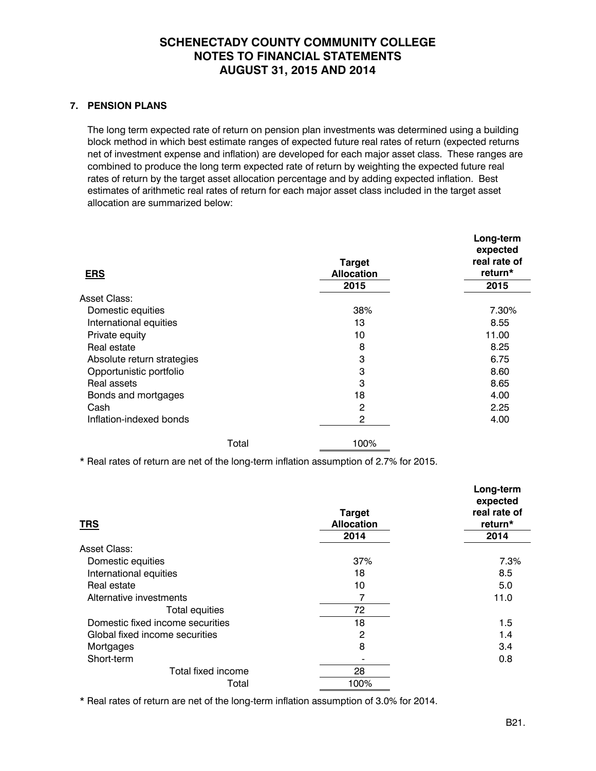## **7. PENSION PLANS**

The long term expected rate of return on pension plan investments was determined using a building block method in which best estimate ranges of expected future real rates of return (expected returns net of investment expense and inflation) are developed for each major asset class. These ranges are combined to produce the long term expected rate of return by weighting the expected future real rates of return by the target asset allocation percentage and by adding expected inflation. Best estimates of arithmetic real rates of return for each major asset class included in the target asset allocation are summarized below:

| <b>ERS</b>                 | <b>Target</b><br><b>Allocation</b> | Long-term<br>expected<br>real rate of<br>return* |
|----------------------------|------------------------------------|--------------------------------------------------|
|                            | 2015                               | 2015                                             |
| Asset Class:               |                                    |                                                  |
| Domestic equities          | 38%                                | 7.30%                                            |
| International equities     | 13                                 | 8.55                                             |
| Private equity             | 10                                 | 11.00                                            |
| Real estate                | 8                                  | 8.25                                             |
| Absolute return strategies | 3                                  | 6.75                                             |
| Opportunistic portfolio    | 3                                  | 8.60                                             |
| Real assets                | 3                                  | 8.65                                             |
| Bonds and mortgages        | 18                                 | 4.00                                             |
| Cash                       | $\overline{2}$                     | 2.25                                             |
| Inflation-indexed bonds    | 2                                  | 4.00                                             |
| Total                      | 100%                               |                                                  |

\* Real rates of return are net of the long-term inflation assumption of 2.7% for 2015.

| TRS                              | <b>Target</b><br><b>Allocation</b> | Long-term<br>expected<br>real rate of<br>return* |
|----------------------------------|------------------------------------|--------------------------------------------------|
|                                  | 2014                               | 2014                                             |
| Asset Class:                     |                                    |                                                  |
| Domestic equities                | 37%                                | 7.3%                                             |
| International equities           | 18                                 | 8.5                                              |
| Real estate                      | 10                                 | 5.0                                              |
| Alternative investments          |                                    | 11.0                                             |
| Total equities                   | 72                                 |                                                  |
| Domestic fixed income securities | 18                                 | 1.5                                              |
| Global fixed income securities   | 2                                  | 1.4                                              |
| Mortgages                        | 8                                  | 3.4                                              |
| Short-term                       |                                    | 0.8                                              |
| Total fixed income               | 28                                 |                                                  |
| Total                            | 100%                               |                                                  |

\* Real rates of return are net of the long-term inflation assumption of 3.0% for 2014.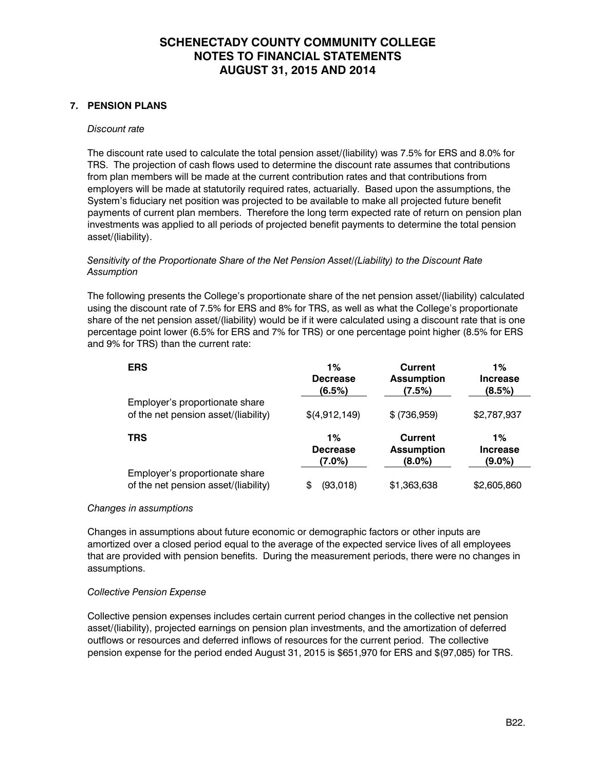## **7. PENSION PLANS**

### *Discount rate*

The discount rate used to calculate the total pension asset/(liability) was 7.5% for ERS and 8.0% for TRS. The projection of cash flows used to determine the discount rate assumes that contributions from plan members will be made at the current contribution rates and that contributions from employers will be made at statutorily required rates, actuarially. Based upon the assumptions, the System's fiduciary net position was projected to be available to make all projected future benefit payments of current plan members. Therefore the long term expected rate of return on pension plan investments was applied to all periods of projected benefit payments to determine the total pension asset/(liability).

## *Sensitivity of the Proportionate Share of the Net Pension Asset/(Liability) to the Discount Rate Assumption*

The following presents the College's proportionate share of the net pension asset/(liability) calculated using the discount rate of 7.5% for ERS and 8% for TRS, as well as what the College's proportionate share of the net pension asset/(liability) would be if it were calculated using a discount rate that is one percentage point lower (6.5% for ERS and 7% for TRS) or one percentage point higher (8.5% for ERS and 9% for TRS) than the current rate:

| <b>ERS</b>                                                             | 1%              | Current           | 1%              |
|------------------------------------------------------------------------|-----------------|-------------------|-----------------|
|                                                                        | <b>Decrease</b> | <b>Assumption</b> | <b>Increase</b> |
|                                                                        | (6.5%)          | (7.5%)            | (8.5%)          |
| Employer's proportionate share<br>of the net pension asset/(liability) | \$(4,912,149)   | \$ (736,959)      | \$2,787,937     |
| <b>TRS</b>                                                             | 1%              | Current           | 1%              |
|                                                                        | <b>Decrease</b> | <b>Assumption</b> | Increase        |
|                                                                        | (7.0%)          | $(8.0\%)$         | (9.0%)          |
| Employer's proportionate share<br>of the net pension asset/(liability) | (93,018)<br>\$  | \$1,363,638       | \$2,605,860     |

### *Changes in assumptions*

Changes in assumptions about future economic or demographic factors or other inputs are amortized over a closed period equal to the average of the expected service lives of all employees that are provided with pension benefits. During the measurement periods, there were no changes in assumptions.

### *Collective Pension Expense*

Collective pension expenses includes certain current period changes in the collective net pension asset/(liability), projected earnings on pension plan investments, and the amortization of deferred outflows or resources and deferred inflows of resources for the current period. The collective pension expense for the period ended August 31, 2015 is \$651,970 for ERS and \$(97,085) for TRS.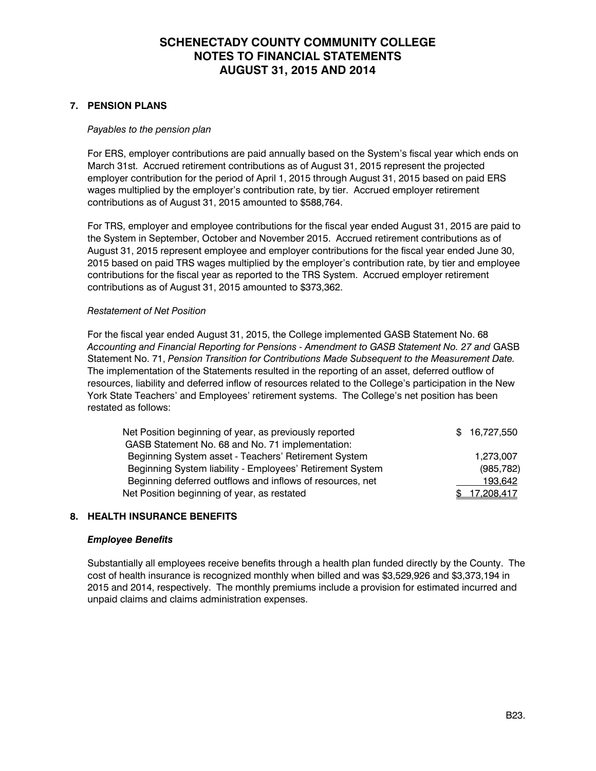## **7. PENSION PLANS**

#### *Payables to the pension plan*

For ERS, employer contributions are paid annually based on the System's fiscal year which ends on March 31st. Accrued retirement contributions as of August 31, 2015 represent the projected employer contribution for the period of April 1, 2015 through August 31, 2015 based on paid ERS wages multiplied by the employer's contribution rate, by tier. Accrued employer retirement contributions as of August 31, 2015 amounted to \$588,764.

For TRS, employer and employee contributions for the fiscal year ended August 31, 2015 are paid to the System in September, October and November 2015. Accrued retirement contributions as of August 31, 2015 represent employee and employer contributions for the fiscal year ended June 30, 2015 based on paid TRS wages multiplied by the employer's contribution rate, by tier and employee contributions for the fiscal year as reported to the TRS System. Accrued employer retirement contributions as of August 31, 2015 amounted to \$373,362.

### *Restatement of Net Position*

For the fiscal year ended August 31, 2015, the College implemented GASB Statement No. 68 *Accounting and Financial Reporting for Pensions - Amendment to GASB Statement No. 27 and* GASB Statement No. 71, *Pension Transition for Contributions Made Subsequent to the Measurement Date.*  The implementation of the Statements resulted in the reporting of an asset, deferred outflow of resources, liability and deferred inflow of resources related to the College's participation in the New York State Teachers' and Employees' retirement systems. The College's net position has been restated as follows:

| Net Position beginning of year, as previously reported    | \$16,727,550 |
|-----------------------------------------------------------|--------------|
| GASB Statement No. 68 and No. 71 implementation:          |              |
| Beginning System asset - Teachers' Retirement System      | 1,273,007    |
| Beginning System liability - Employees' Retirement System | (985, 782)   |
| Beginning deferred outflows and inflows of resources, net | 193.642      |
| Net Position beginning of year, as restated               | 17.208.417   |

### **8. HEALTH INSURANCE BENEFITS**

#### *Employee Benefits*

Substantially all employees receive benefits through a health plan funded directly by the County. The cost of health insurance is recognized monthly when billed and was \$3,529,926 and \$3,373,194 in 2015 and 2014, respectively. The monthly premiums include a provision for estimated incurred and unpaid claims and claims administration expenses.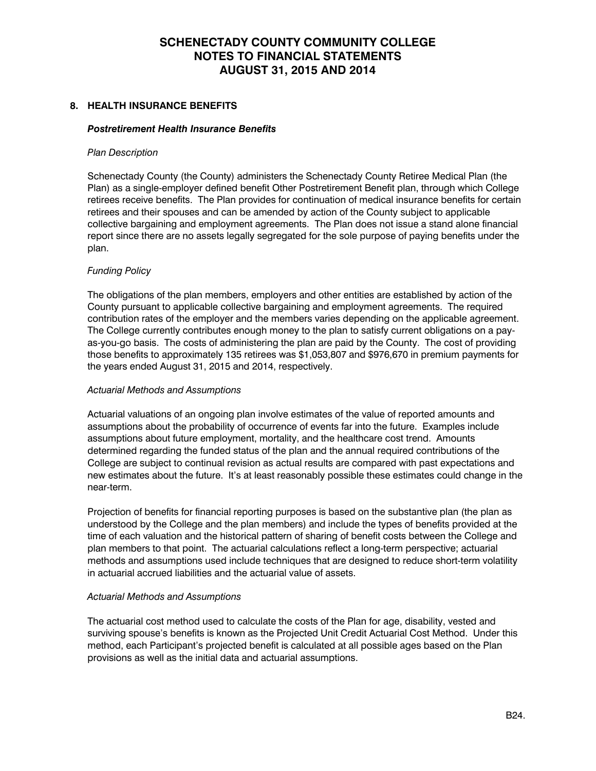### **8. HEALTH INSURANCE BENEFITS**

### *Postretirement Health Insurance Benefits*

#### *Plan Description*

Schenectady County (the County) administers the Schenectady County Retiree Medical Plan (the Plan) as a single-employer defined benefit Other Postretirement Benefit plan, through which College retirees receive benefits. The Plan provides for continuation of medical insurance benefits for certain retirees and their spouses and can be amended by action of the County subject to applicable collective bargaining and employment agreements. The Plan does not issue a stand alone financial report since there are no assets legally segregated for the sole purpose of paying benefits under the plan.

## *Funding Policy*

The obligations of the plan members, employers and other entities are established by action of the County pursuant to applicable collective bargaining and employment agreements. The required contribution rates of the employer and the members varies depending on the applicable agreement. The College currently contributes enough money to the plan to satisfy current obligations on a payas-you-go basis. The costs of administering the plan are paid by the County. The cost of providing those benefits to approximately 135 retirees was \$1,053,807 and \$976,670 in premium payments for the years ended August 31, 2015 and 2014, respectively.

### *Actuarial Methods and Assumptions*

Actuarial valuations of an ongoing plan involve estimates of the value of reported amounts and assumptions about the probability of occurrence of events far into the future. Examples include assumptions about future employment, mortality, and the healthcare cost trend. Amounts determined regarding the funded status of the plan and the annual required contributions of the College are subject to continual revision as actual results are compared with past expectations and new estimates about the future. It's at least reasonably possible these estimates could change in the near-term.

Projection of benefits for financial reporting purposes is based on the substantive plan (the plan as understood by the College and the plan members) and include the types of benefits provided at the time of each valuation and the historical pattern of sharing of benefit costs between the College and plan members to that point. The actuarial calculations reflect a long-term perspective; actuarial methods and assumptions used include techniques that are designed to reduce short-term volatility in actuarial accrued liabilities and the actuarial value of assets.

### *Actuarial Methods and Assumptions*

The actuarial cost method used to calculate the costs of the Plan for age, disability, vested and surviving spouse's benefits is known as the Projected Unit Credit Actuarial Cost Method. Under this method, each Participant's projected benefit is calculated at all possible ages based on the Plan provisions as well as the initial data and actuarial assumptions.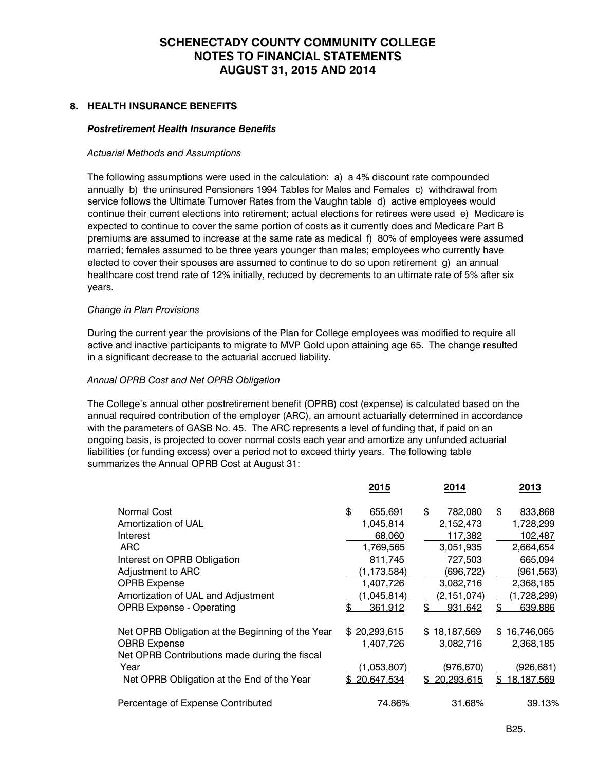### **8. HEALTH INSURANCE BENEFITS**

### *Postretirement Health Insurance Benefits*

### *Actuarial Methods and Assumptions*

The following assumptions were used in the calculation: a) a 4% discount rate compounded annually b) the uninsured Pensioners 1994 Tables for Males and Females c) withdrawal from service follows the Ultimate Turnover Rates from the Vaughn table d) active employees would continue their current elections into retirement; actual elections for retirees were used e) Medicare is expected to continue to cover the same portion of costs as it currently does and Medicare Part B premiums are assumed to increase at the same rate as medical f) 80% of employees were assumed married; females assumed to be three years younger than males; employees who currently have elected to cover their spouses are assumed to continue to do so upon retirement g) an annual healthcare cost trend rate of 12% initially, reduced by decrements to an ultimate rate of 5% after six years.

#### *Change in Plan Provisions*

During the current year the provisions of the Plan for College employees was modified to require all active and inactive participants to migrate to MVP Gold upon attaining age 65. The change resulted in a significant decrease to the actuarial accrued liability.

### *Annual OPRB Cost and Net OPRB Obligation*

The College's annual other postretirement benefit (OPRB) cost (expense) is calculated based on the annual required contribution of the employer (ARC), an amount actuarially determined in accordance with the parameters of GASB No. 45. The ARC represents a level of funding that, if paid on an ongoing basis, is projected to cover normal costs each year and amortize any unfunded actuarial liabilities (or funding excess) over a period not to exceed thirty years. The following table summarizes the Annual OPRB Cost at August 31:

|                                                  | 2015          | 2014             | 2013                |
|--------------------------------------------------|---------------|------------------|---------------------|
| Normal Cost                                      | \$<br>655,691 | \$<br>782,080    | \$<br>833,868       |
| Amortization of UAL                              | 1,045,814     | 2,152,473        | 1,728,299           |
| Interest                                         | 68,060        | 117,382          | 102,487             |
| <b>ARC</b>                                       | 1,769,565     | 3,051,935        | 2,664,654           |
| Interest on OPRB Obligation                      | 811,745       | 727,503          | 665,094             |
| Adjustment to ARC                                | (1, 173, 584) | (696,722)        | (961, 563)          |
| <b>OPRB Expense</b>                              | 1,407,726     | 3,082,716        | 2,368,185           |
| Amortization of UAL and Adjustment               | (1,045,814)   | (2, 151, 074)    | (1,728,299)         |
| <b>OPRB Expense - Operating</b>                  | 361,912       | 931,642<br>\$    | 639,886<br>S        |
| Net OPRB Obligation at the Beginning of the Year | \$20,293,615  | 18,187,569<br>\$ | 16,746,065<br>\$    |
| <b>OBRB</b> Expense                              | 1,407,726     | 3,082,716        | 2,368,185           |
| Net OPRB Contributions made during the fiscal    |               |                  |                     |
| Year                                             | (1,053,807)   | (976,670)        | (926,681)           |
| Net OPRB Obligation at the End of the Year       | \$ 20,647,534 | \$20,293,615     | <u>\$18,187,569</u> |
| Percentage of Expense Contributed                | 74.86%        | 31.68%           | 39.13%              |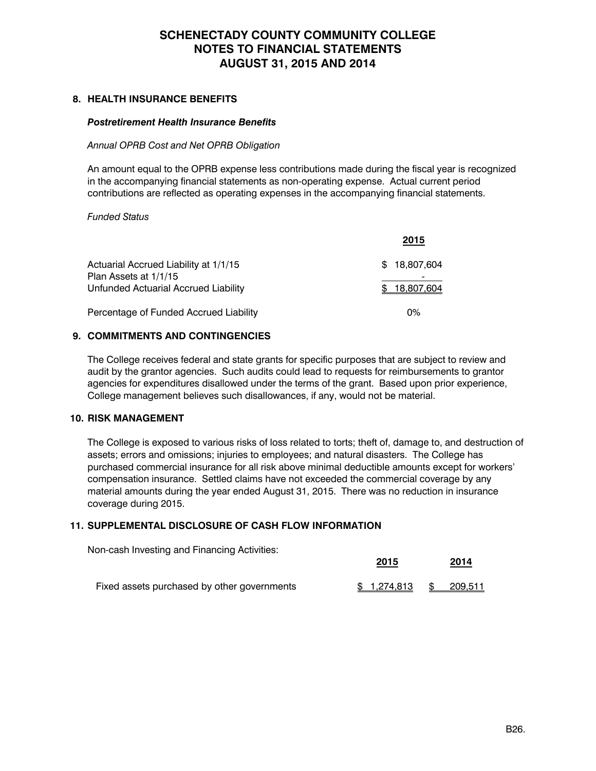## **8. HEALTH INSURANCE BENEFITS**

### *Postretirement Health Insurance Benefits*

### *Annual OPRB Cost and Net OPRB Obligation*

An amount equal to the OPRB expense less contributions made during the fiscal year is recognized in the accompanying financial statements as non-operating expense. Actual current period contributions are reflected as operating expenses in the accompanying financial statements.

#### *Funded Status*

|                                        | 2015         |
|----------------------------------------|--------------|
| Actuarial Accrued Liability at 1/1/15  | \$18,807,604 |
| Plan Assets at 1/1/15                  |              |
| Unfunded Actuarial Accrued Liability   | \$18,807,604 |
| Percentage of Funded Accrued Liability | 0%           |

### **9. COMMITMENTS AND CONTINGENCIES**

The College receives federal and state grants for specific purposes that are subject to review and audit by the grantor agencies. Such audits could lead to requests for reimbursements to grantor agencies for expenditures disallowed under the terms of the grant. Based upon prior experience, College management believes such disallowances, if any, would not be material.

### **10. RISK MANAGEMENT**

The College is exposed to various risks of loss related to torts; theft of, damage to, and destruction of assets; errors and omissions; injuries to employees; and natural disasters. The College has purchased commercial insurance for all risk above minimal deductible amounts except for workers' compensation insurance. Settled claims have not exceeded the commercial coverage by any material amounts during the year ended August 31, 2015. There was no reduction in insurance coverage during 2015.

## **11. SUPPLEMENTAL DISCLOSURE OF CASH FLOW INFORMATION**

| Non-cash Investing and Financing Activities: | 2015         | 2014            |
|----------------------------------------------|--------------|-----------------|
| Fixed assets purchased by other governments  | \$ 1.274.813 | - SS<br>209.511 |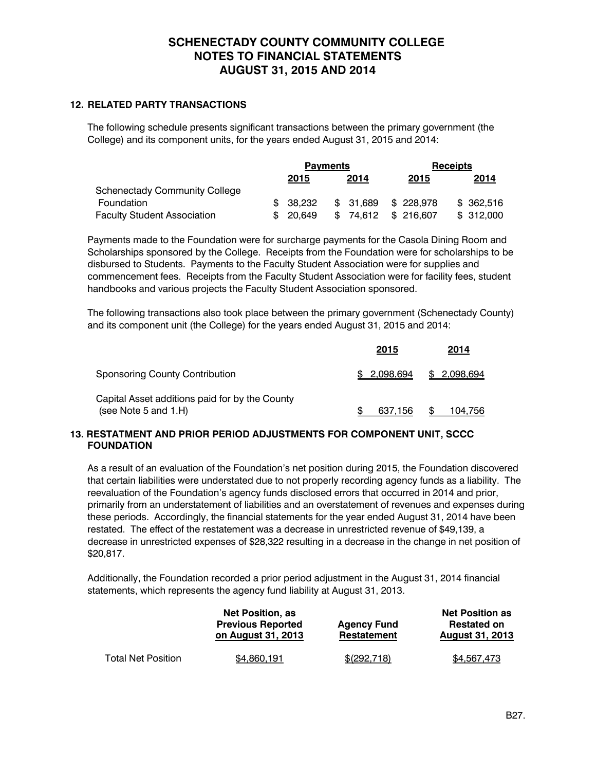## **12. RELATED PARTY TRANSACTIONS**

The following schedule presents significant transactions between the primary government (the College) and its component units, for the years ended August 31, 2015 and 2014:

|                                      | <b>Payments</b> |    | <b>Receipts</b>      |  |            |  |           |
|--------------------------------------|-----------------|----|----------------------|--|------------|--|-----------|
|                                      | 2015            |    | 2014                 |  | 2015       |  | 2014      |
| <b>Schenectady Community College</b> |                 |    |                      |  |            |  |           |
| Foundation                           | \$38.232        |    | $$31.689$ $$228.978$ |  |            |  | \$362.516 |
| <b>Faculty Student Association</b>   | 20.649          | \$ | 74,612               |  | \$ 216,607 |  | \$312,000 |

Payments made to the Foundation were for surcharge payments for the Casola Dining Room and Scholarships sponsored by the College. Receipts from the Foundation were for scholarships to be disbursed to Students. Payments to the Faculty Student Association were for supplies and commencement fees. Receipts from the Faculty Student Association were for facility fees, student handbooks and various projects the Faculty Student Association sponsored.

The following transactions also took place between the primary government (Schenectady County) and its component unit (the College) for the years ended August 31, 2015 and 2014:

|                                                                        | 2015        | 2014         |
|------------------------------------------------------------------------|-------------|--------------|
| <b>Sponsoring County Contribution</b>                                  | \$2.098.694 | \$ 2,098,694 |
| Capital Asset additions paid for by the County<br>(see Note 5 and 1.H) | 637.156     | 104.756      |

### **13. RESTATMENT AND PRIOR PERIOD ADJUSTMENTS FOR COMPONENT UNIT, SCCC FOUNDATION**

As a result of an evaluation of the Foundation's net position during 2015, the Foundation discovered that certain liabilities were understated due to not properly recording agency funds as a liability. The reevaluation of the Foundation's agency funds disclosed errors that occurred in 2014 and prior, primarily from an understatement of liabilities and an overstatement of revenues and expenses during these periods. Accordingly, the financial statements for the year ended August 31, 2014 have been restated. The effect of the restatement was a decrease in unrestricted revenue of \$49,139, a decrease in unrestricted expenses of \$28,322 resulting in a decrease in the change in net position of \$20,817.

Additionally, the Foundation recorded a prior period adjustment in the August 31, 2014 financial statements, which represents the agency fund liability at August 31, 2013.

|                    | <b>Net Position, as</b><br><b>Previous Reported</b><br>on August 31, 2013 | <b>Agency Fund</b><br>Restatement | <b>Net Position as</b><br><b>Restated on</b><br><b>August 31, 2013</b> |
|--------------------|---------------------------------------------------------------------------|-----------------------------------|------------------------------------------------------------------------|
| Total Net Position | \$4,860,191                                                               | \$(292,718)                       | \$4,567,473                                                            |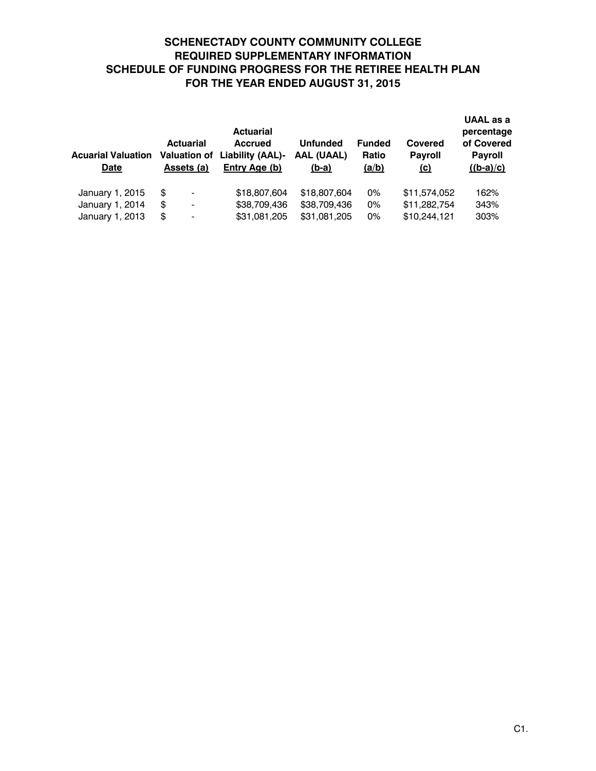# **SCHENECTADY COUNTY COMMUNITY COLLEGE REQUIRED SUPPLEMENTARY INFORMATION SCHEDULE OF FUNDING PROGRESS FOR THE RETIREE HEALTH PLAN FOR THE YEAR ENDED AUGUST 31, 2015**

| <b>Acuarial Valuation</b><br><b>Date</b> |    | Actuarial<br><b>Valuation of</b><br>Assets (a) | <b>Actuarial</b><br><b>Accrued</b><br>Liability (AAL)-<br>Entry Age (b) | <b>Unfunded</b><br>AAL (UAAL)<br>(b-a) | <b>Funded</b><br>Ratio<br>(a/b) | <b>Covered</b><br><b>Payroll</b><br><u>(c)</u> | UAAL as a<br>percentage<br>of Covered<br><b>Payroll</b><br>$((b-a)/c)$ |
|------------------------------------------|----|------------------------------------------------|-------------------------------------------------------------------------|----------------------------------------|---------------------------------|------------------------------------------------|------------------------------------------------------------------------|
| January 1, 2015                          | S  | $\overline{\phantom{a}}$                       | \$18,807,604                                                            | \$18,807,604                           | 0%                              | \$11,574,052                                   | 162%                                                                   |
| January 1, 2014                          | \$ | $\overline{\phantom{a}}$                       | \$38,709,436                                                            | \$38,709,436                           | 0%                              | \$11,282,754                                   | 343%                                                                   |
| January 1, 2013                          | \$ | $\overline{\phantom{a}}$                       | \$31,081,205                                                            | \$31.081.205                           | 0%                              | \$10,244.121                                   | 303%                                                                   |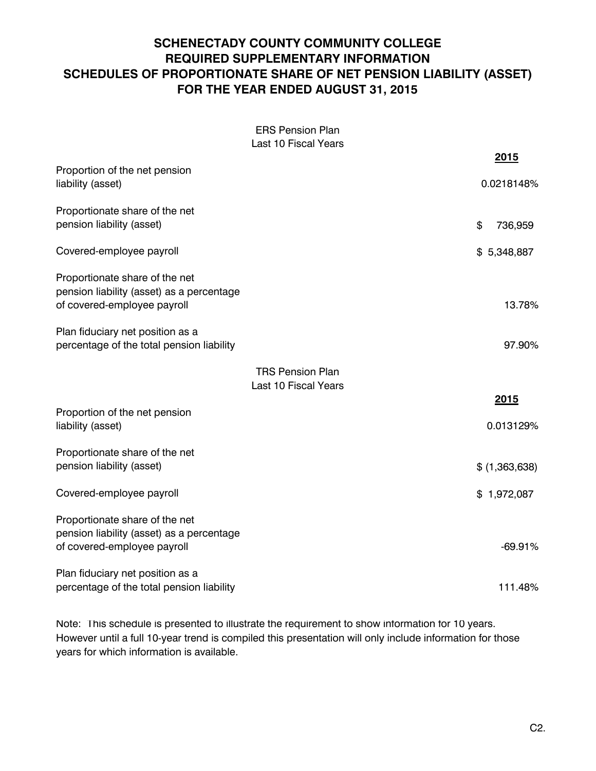# **SCHENECTADY COUNTY COMMUNITY COLLEGE FOR THE YEAR ENDED AUGUST 31, 2015 SCHEDULES OF PROPORTIONATE SHARE OF NET PENSION LIABILITY (ASSET) REQUIRED SUPPLEMENTARY INFORMATION**

|                                                                                                            | <b>ERS Pension Plan</b> |                |
|------------------------------------------------------------------------------------------------------------|-------------------------|----------------|
|                                                                                                            | Last 10 Fiscal Years    |                |
|                                                                                                            |                         | 2015           |
| Proportion of the net pension<br>liability (asset)                                                         |                         | 0.0218148%     |
| Proportionate share of the net<br>pension liability (asset)                                                | \$                      | 736,959        |
| Covered-employee payroll                                                                                   |                         | \$5,348,887    |
| Proportionate share of the net<br>pension liability (asset) as a percentage<br>of covered-employee payroll |                         | 13.78%         |
| Plan fiduciary net position as a<br>percentage of the total pension liability                              |                         | 97.90%         |
|                                                                                                            | <b>TRS Pension Plan</b> |                |
|                                                                                                            | Last 10 Fiscal Years    |                |
| Proportion of the net pension                                                                              |                         | 2015           |
| liability (asset)                                                                                          |                         | 0.013129%      |
| Proportionate share of the net                                                                             |                         |                |
| pension liability (asset)                                                                                  |                         | \$ (1,363,638) |
| Covered-employee payroll                                                                                   |                         | \$1,972,087    |
| Proportionate share of the net<br>pension liability (asset) as a percentage<br>of covered-employee payroll |                         | $-69.91%$      |
| Plan fiduciary net position as a<br>percentage of the total pension liability                              |                         | 111.48%        |

Note: This schedule is presented to illustrate the requirement to show information for 10 years. However until a full 10-year trend is compiled this presentation will only include information for those years for which information is available.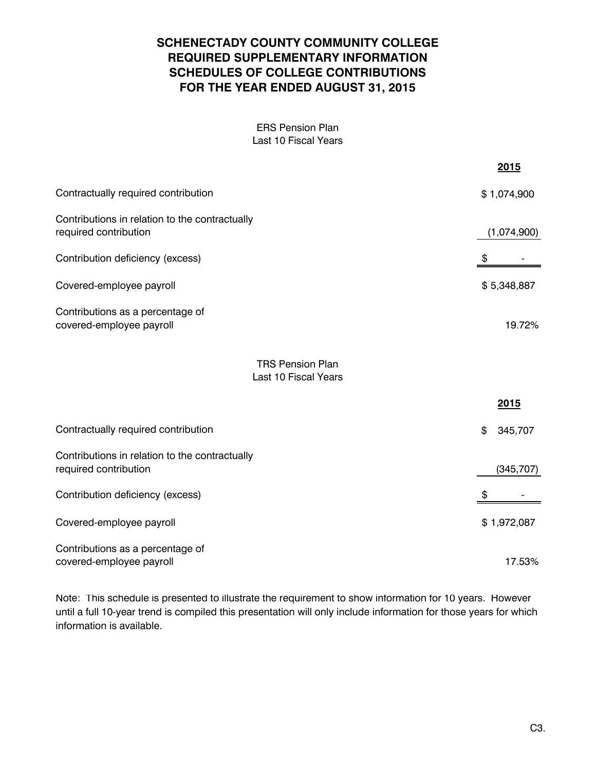# **SCHENECTADY COUNTY COMMUNITY COLLEGE SCHEDULES OF COLLEGE CONTRIBUTIONS FOR THE YEAR ENDED AUGUST 31, 2015 REQUIRED SUPPLEMENTARY INFORMATION**

ERS Pension Plan Last 10 Fiscal Years

|                                                                         | 2015          |
|-------------------------------------------------------------------------|---------------|
| Contractually required contribution                                     | \$1,074,900   |
| Contributions in relation to the contractually<br>required contribution | (1,074,900)   |
| Contribution deficiency (excess)                                        | \$            |
| Covered-employee payroll                                                | \$5,348,887   |
| Contributions as a percentage of<br>covered-employee payroll            | 19.72%        |
| <b>TRS Pension Plan</b><br>Last 10 Fiscal Years                         |               |
|                                                                         | 2015          |
| Contractually required contribution                                     | \$<br>345,707 |
| Contributions in relation to the contractually<br>required contribution | (345, 707)    |
| Contribution deficiency (excess)                                        |               |
| Covered-employee payroll                                                | \$1,972,087   |
| Contributions as a percentage of<br>covered-employee payroll            | 17.53%        |

Note: This schedule is presented to illustrate the requirement to show information for 10 years. However until a full 10-year trend is compiled this presentation will only include information for those years for which information is available.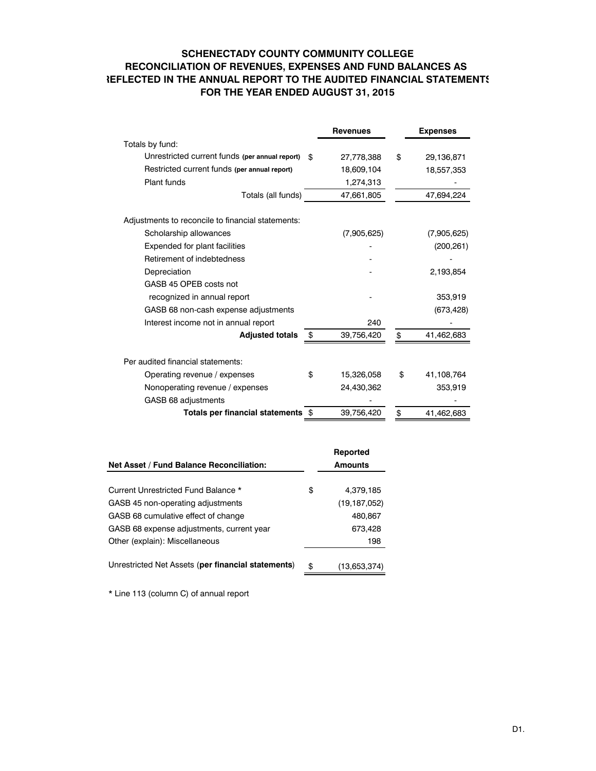# **SCHENECTADY COUNTY COMMUNITY COLLEGE RECONCILIATION OF REVENUES, EXPENSES AND FUND BALANCES AS REFLECTED IN THE ANNUAL REPORT TO THE AUDITED FINANCIAL STATEMENTS FOR THE YEAR ENDED AUGUST 31, 2015**

|                                                   | <b>Revenues</b>  | <b>Expenses</b>  |
|---------------------------------------------------|------------------|------------------|
| Totals by fund:                                   |                  |                  |
| Unrestricted current funds (per annual report)    | \$<br>27,778,388 | \$<br>29,136,871 |
| Restricted current funds (per annual report)      | 18,609,104       | 18,557,353       |
| Plant funds                                       | 1,274,313        |                  |
| Totals (all funds)                                | 47,661,805       | 47,694,224       |
| Adjustments to reconcile to financial statements: |                  |                  |
| Scholarship allowances                            | (7,905,625)      | (7,905,625)      |
| Expended for plant facilities                     |                  | (200, 261)       |
| Retirement of indebtedness                        |                  |                  |
| Depreciation                                      |                  | 2,193,854        |
| GASB 45 OPEB costs not                            |                  |                  |
| recognized in annual report                       |                  | 353,919          |
| GASB 68 non-cash expense adjustments              |                  | (673, 428)       |
| Interest income not in annual report              | 240              |                  |
| <b>Adjusted totals</b>                            | \$<br>39,756,420 | \$<br>41,462,683 |
| Per audited financial statements:                 |                  |                  |
| Operating revenue / expenses                      | \$<br>15,326,058 | \$<br>41,108,764 |
| Nonoperating revenue / expenses                   | 24,430,362       | 353,919          |
| GASB 68 adjustments                               |                  |                  |
| Totals per financial statements \$                | 39,756,420       | 41,462,683       |

|                                                    | Reported           |
|----------------------------------------------------|--------------------|
| Net Asset / Fund Balance Reconciliation:           | <b>Amounts</b>     |
|                                                    |                    |
| Current Unrestricted Fund Balance *                | \$<br>4,379,185    |
| GASB 45 non-operating adjustments                  | (19, 187, 052)     |
| GASB 68 cumulative effect of change                | 480.867            |
| GASB 68 expense adjustments, current year          | 673.428            |
| Other (explain): Miscellaneous                     | 198                |
|                                                    |                    |
| Unrestricted Net Assets (per financial statements) | \$<br>(13,653,374) |

\* Line 113 (column C) of annual report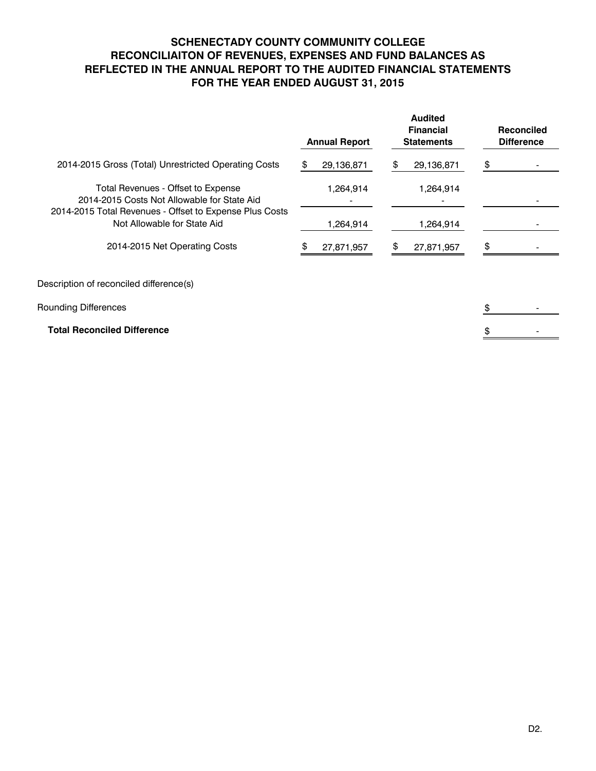# **SCHENECTADY COUNTY COMMUNITY COLLEGE RECONCILIAITON OF REVENUES, EXPENSES AND FUND BALANCES AS REFLECTED IN THE ANNUAL REPORT TO THE AUDITED FINANCIAL STATEMENTS FOR THE YEAR ENDED AUGUST 31, 2015**

|                                                                                                                                              | <b>Annual Report</b> |            |    |            | <b>Reconciled</b><br><b>Difference</b> |
|----------------------------------------------------------------------------------------------------------------------------------------------|----------------------|------------|----|------------|----------------------------------------|
| 2014-2015 Gross (Total) Unrestricted Operating Costs                                                                                         | S                    | 29,136,871 | \$ | 29,136,871 | \$                                     |
| Total Revenues - Offset to Expense<br>2014-2015 Costs Not Allowable for State Aid<br>2014-2015 Total Revenues - Offset to Expense Plus Costs |                      | 1,264,914  |    | 1,264,914  |                                        |
| Not Allowable for State Aid                                                                                                                  |                      | 1,264,914  |    | 1,264,914  |                                        |
| 2014-2015 Net Operating Costs                                                                                                                |                      | 27,871,957 | \$ | 27,871,957 | \$                                     |
| Description of reconciled difference(s)                                                                                                      |                      |            |    |            |                                        |
| <b>Rounding Differences</b>                                                                                                                  |                      |            |    |            | \$                                     |
| <b>Total Reconciled Difference</b>                                                                                                           |                      |            |    |            |                                        |
|                                                                                                                                              |                      |            |    |            |                                        |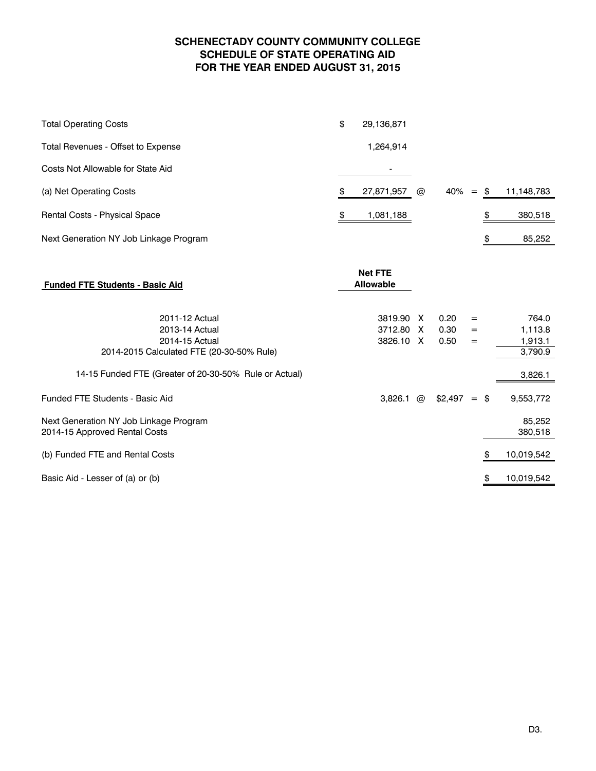# **SCHENECTADY COUNTY COMMUNITY COLLEGE SCHEDULE OF STATE OPERATING AID FOR THE YEAR ENDED AUGUST 31, 2015**

| <b>Total Operating Costs</b>                                            | \$<br>29,136,871                   |              |         |     |     |                   |
|-------------------------------------------------------------------------|------------------------------------|--------------|---------|-----|-----|-------------------|
| Total Revenues - Offset to Expense                                      | 1,264,914                          |              |         |     |     |                   |
| Costs Not Allowable for State Aid                                       |                                    |              |         |     |     |                   |
| (a) Net Operating Costs                                                 | 27,871,957                         | $\omega$     | 40%     | $=$ | \$  | 11,148,783        |
| Rental Costs - Physical Space                                           | \$<br>1,081,188                    |              |         |     | \$  | 380,518           |
| Next Generation NY Job Linkage Program                                  |                                    |              |         |     | \$  | 85,252            |
| <b>Funded FTE Students - Basic Aid</b>                                  | <b>Net FTE</b><br><b>Allowable</b> |              |         |     |     |                   |
| 2011-12 Actual                                                          | 3819.90                            | $\mathsf{x}$ | 0.20    | $=$ |     | 764.0             |
| 2013-14 Actual                                                          | 3712.80                            | $\mathsf{X}$ | 0.30    | $=$ |     | 1,113.8           |
| 2014-15 Actual                                                          | 3826.10 X                          |              | 0.50    | $=$ |     | 1,913.1           |
| 2014-2015 Calculated FTE (20-30-50% Rule)                               |                                    |              |         |     |     | 3,790.9           |
| 14-15 Funded FTE (Greater of 20-30-50% Rule or Actual)                  |                                    |              |         |     |     | 3,826.1           |
| Funded FTE Students - Basic Aid                                         | 3,826.1                            | @            | \$2,497 | $=$ | -\$ | 9,553,772         |
| Next Generation NY Job Linkage Program<br>2014-15 Approved Rental Costs |                                    |              |         |     |     | 85,252<br>380,518 |
| (b) Funded FTE and Rental Costs                                         |                                    |              |         |     | \$  | 10,019,542        |

Basic Aid - Lesser of (a) or (b)  $$ 10,019,542$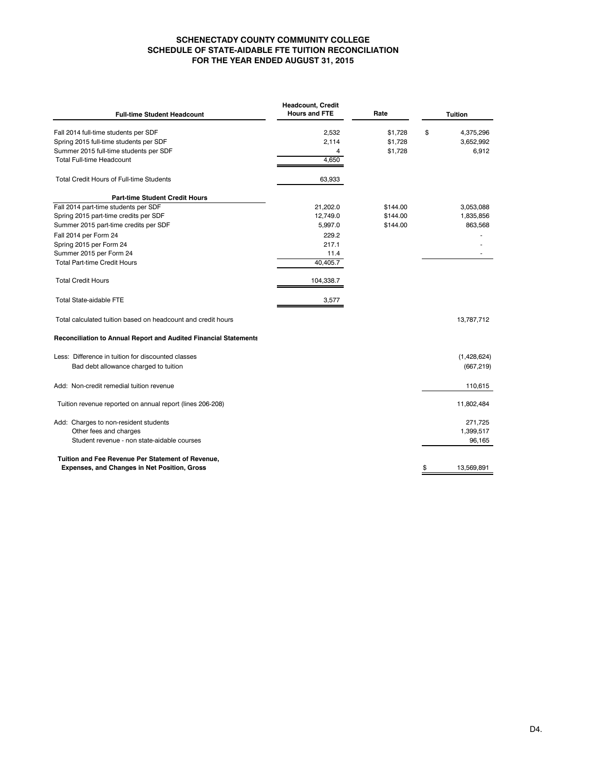### **SCHENECTADY COUNTY COMMUNITY COLLEGE SCHEDULE OF STATE-AIDABLE FTE TUITION RECONCILIATION FOR THE YEAR ENDED AUGUST 31, 2015**

| <b>Full-time Student Headcount</b>                               | <b>Headcount, Credit</b><br><b>Hours and FTE</b> | Rate     | Tuition          |
|------------------------------------------------------------------|--------------------------------------------------|----------|------------------|
| Fall 2014 full-time students per SDF                             | 2,532                                            | \$1,728  | \$<br>4,375,296  |
| Spring 2015 full-time students per SDF                           | 2,114                                            | \$1,728  | 3,652,992        |
| Summer 2015 full-time students per SDF                           | 4                                                | \$1,728  | 6,912            |
| <b>Total Full-time Headcount</b>                                 | 4,650                                            |          |                  |
| <b>Total Credit Hours of Full-time Students</b>                  | 63,933                                           |          |                  |
| <b>Part-time Student Credit Hours</b>                            |                                                  |          |                  |
| Fall 2014 part-time students per SDF                             | 21,202.0                                         | \$144.00 | 3,053,088        |
| Spring 2015 part-time credits per SDF                            | 12,749.0                                         | \$144.00 | 1,835,856        |
| Summer 2015 part-time credits per SDF                            | 5.997.0                                          | \$144.00 | 863.568          |
| Fall 2014 per Form 24                                            | 229.2                                            |          |                  |
| Spring 2015 per Form 24                                          | 217.1                                            |          |                  |
| Summer 2015 per Form 24                                          | 11.4                                             |          |                  |
| <b>Total Part-time Credit Hours</b>                              | 40.405.7                                         |          |                  |
| <b>Total Credit Hours</b>                                        | 104,338.7                                        |          |                  |
| <b>Total State-aidable FTE</b>                                   | 3,577                                            |          |                  |
| Total calculated tuition based on headcount and credit hours     |                                                  |          | 13,787,712       |
| Reconciliation to Annual Report and Audited Financial Statements |                                                  |          |                  |
| Less: Difference in tuition for discounted classes               |                                                  |          | (1,428,624)      |
| Bad debt allowance charged to tuition                            |                                                  |          | (667, 219)       |
| Add: Non-credit remedial tuition revenue                         |                                                  |          | 110,615          |
| Tuition revenue reported on annual report (lines 206-208)        |                                                  |          | 11,802,484       |
| Add: Charges to non-resident students                            |                                                  |          | 271,725          |
| Other fees and charges                                           |                                                  |          | 1,399,517        |
| Student revenue - non state-aidable courses                      |                                                  |          | 96,165           |
| Tuition and Fee Revenue Per Statement of Revenue,                |                                                  |          |                  |
| <b>Expenses, and Changes in Net Position, Gross</b>              |                                                  |          | \$<br>13,569,891 |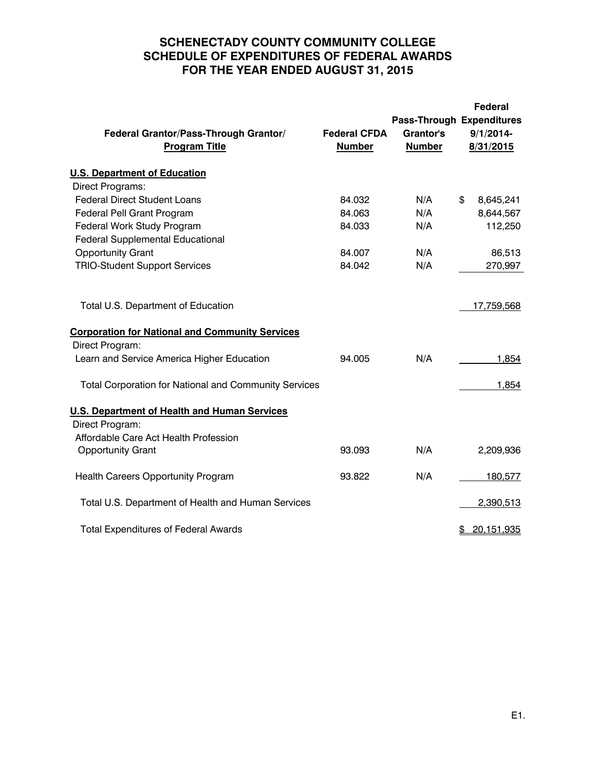# **SCHENECTADY COUNTY COMMUNITY COLLEGE SCHEDULE OF EXPENDITURES OF FEDERAL AWARDS FOR THE YEAR ENDED AUGUST 31, 2015**

| Federal Grantor/Pass-Through Grantor/<br><b>Program Title</b>                                                                                                                                                                 | <b>Federal CFDA</b><br><b>Number</b> | <b>Pass-Through Expenditures</b><br>Grantor's<br><b>Number</b> | Federal<br>$9/1/2014$ -<br>8/31/2015 |
|-------------------------------------------------------------------------------------------------------------------------------------------------------------------------------------------------------------------------------|--------------------------------------|----------------------------------------------------------------|--------------------------------------|
| <b>U.S. Department of Education</b>                                                                                                                                                                                           |                                      |                                                                |                                      |
| Direct Programs:                                                                                                                                                                                                              |                                      |                                                                |                                      |
| <b>Federal Direct Student Loans</b>                                                                                                                                                                                           | 84.032                               | N/A                                                            | \$<br>8,645,241                      |
| <b>Federal Pell Grant Program</b>                                                                                                                                                                                             | 84.063                               | N/A                                                            | 8,644,567                            |
| Federal Work Study Program                                                                                                                                                                                                    | 84.033                               | N/A                                                            | 112,250                              |
| <b>Federal Supplemental Educational</b>                                                                                                                                                                                       |                                      |                                                                |                                      |
| <b>Opportunity Grant</b>                                                                                                                                                                                                      | 84.007                               | N/A                                                            | 86,513                               |
| <b>TRIO-Student Support Services</b>                                                                                                                                                                                          | 84.042                               | N/A                                                            | 270,997                              |
| Total U.S. Department of Education<br><b>Corporation for National and Community Services</b><br>Direct Program:<br>Learn and Service America Higher Education<br><b>Total Corporation for National and Community Services</b> | 94.005                               | N/A                                                            | 17,759,568<br>1,854<br>1,854         |
| <b>U.S. Department of Health and Human Services</b>                                                                                                                                                                           |                                      |                                                                |                                      |
| Direct Program:<br>Affordable Care Act Health Profession<br><b>Opportunity Grant</b>                                                                                                                                          | 93.093                               | N/A                                                            | 2,209,936                            |
| Health Careers Opportunity Program                                                                                                                                                                                            | 93.822                               | N/A                                                            | 180,577                              |
| Total U.S. Department of Health and Human Services                                                                                                                                                                            |                                      |                                                                | 2,390,513                            |
| <b>Total Expenditures of Federal Awards</b>                                                                                                                                                                                   |                                      |                                                                | 20,151,935<br>\$                     |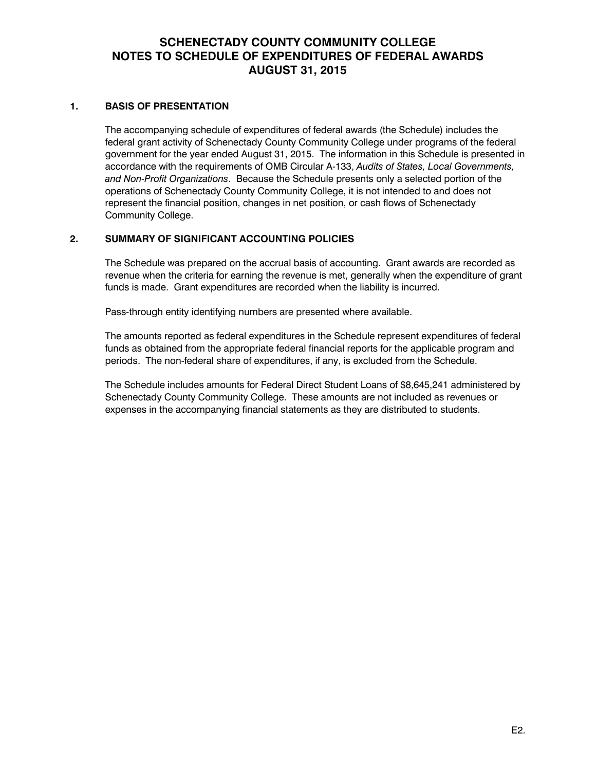# **SCHENECTADY COUNTY COMMUNITY COLLEGE NOTES TO SCHEDULE OF EXPENDITURES OF FEDERAL AWARDS AUGUST 31, 2015**

## **1. BASIS OF PRESENTATION**

The accompanying schedule of expenditures of federal awards (the Schedule) includes the federal grant activity of Schenectady County Community College under programs of the federal government for the year ended August 31, 2015. The information in this Schedule is presented in accordance with the requirements of OMB Circular A-133, *Audits of States, Local Governments, and Non-Profit Organizations*. Because the Schedule presents only a selected portion of the operations of Schenectady County Community College, it is not intended to and does not represent the financial position, changes in net position, or cash flows of Schenectady Community College.

## **2. SUMMARY OF SIGNIFICANT ACCOUNTING POLICIES**

The Schedule was prepared on the accrual basis of accounting. Grant awards are recorded as revenue when the criteria for earning the revenue is met, generally when the expenditure of grant funds is made. Grant expenditures are recorded when the liability is incurred.

Pass-through entity identifying numbers are presented where available.

The amounts reported as federal expenditures in the Schedule represent expenditures of federal funds as obtained from the appropriate federal financial reports for the applicable program and periods. The non-federal share of expenditures, if any, is excluded from the Schedule.

The Schedule includes amounts for Federal Direct Student Loans of \$8,645,241 administered by Schenectady County Community College. These amounts are not included as revenues or expenses in the accompanying financial statements as they are distributed to students.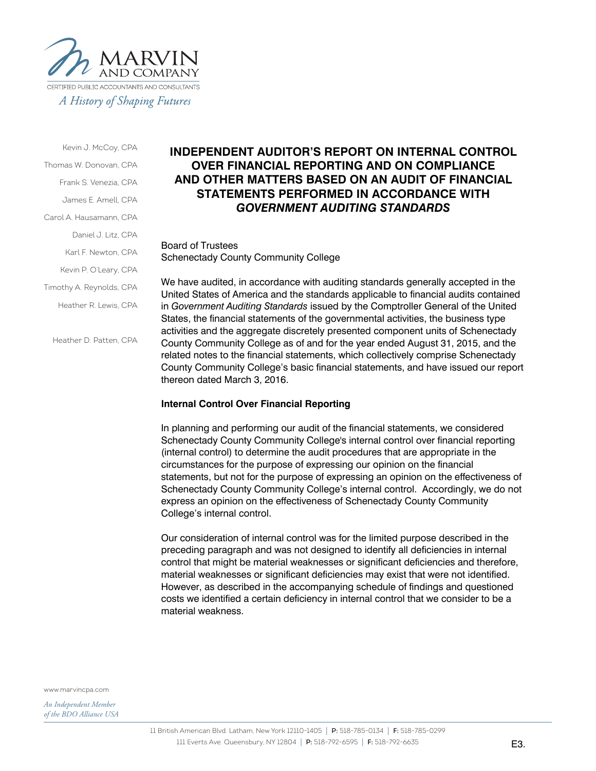

Kevin J. McCoy, CPA Thomas W. Donovan, CPA Frank S. Venezia, CPA James E. Amell, CPA Carol A. Hausamann, CPA Daniel J. Litz, CPA Karl F. Newton, CPA Kevin P. O'Leary, CPA Timothy A. Reynolds, CPA

Heather R. Lewis, CPA

Heather D. Patten, CPA

# **INDEPENDENT AUDITOR'S REPORT ON INTERNAL CONTROL OVER FINANCIAL REPORTING AND ON COMPLIANCE AND OTHER MATTERS BASED ON AN AUDIT OF FINANCIAL STATEMENTS PERFORMED IN ACCORDANCE WITH**  *GOVERNMENT AUDITING STANDARDS*

Board of Trustees Schenectady County Community College

We have audited, in accordance with auditing standards generally accepted in the United States of America and the standards applicable to financial audits contained in *Government Auditing Standards* issued by the Comptroller General of the United States, the financial statements of the governmental activities, the business type activities and the aggregate discretely presented component units of Schenectady County Community College as of and for the year ended August 31, 2015, and the related notes to the financial statements, which collectively comprise Schenectady County Community College's basic financial statements, and have issued our report thereon dated March 3, 2016.

# **Internal Control Over Financial Reporting**

In planning and performing our audit of the financial statements, we considered Schenectady County Community College's internal control over financial reporting (internal control) to determine the audit procedures that are appropriate in the circumstances for the purpose of expressing our opinion on the financial statements, but not for the purpose of expressing an opinion on the effectiveness of Schenectady County Community College's internal control. Accordingly, we do not express an opinion on the effectiveness of Schenectady County Community College's internal control.

Our consideration of internal control was for the limited purpose described in the preceding paragraph and was not designed to identify all deficiencies in internal control that might be material weaknesses or significant deficiencies and therefore, material weaknesses or significant deficiencies may exist that were not identified. However, as described in the accompanying schedule of findings and questioned costs we identified a certain deficiency in internal control that we consider to be a material weakness.

www.marvincpa.com

*An Independent Member of the BDO Alliance USA*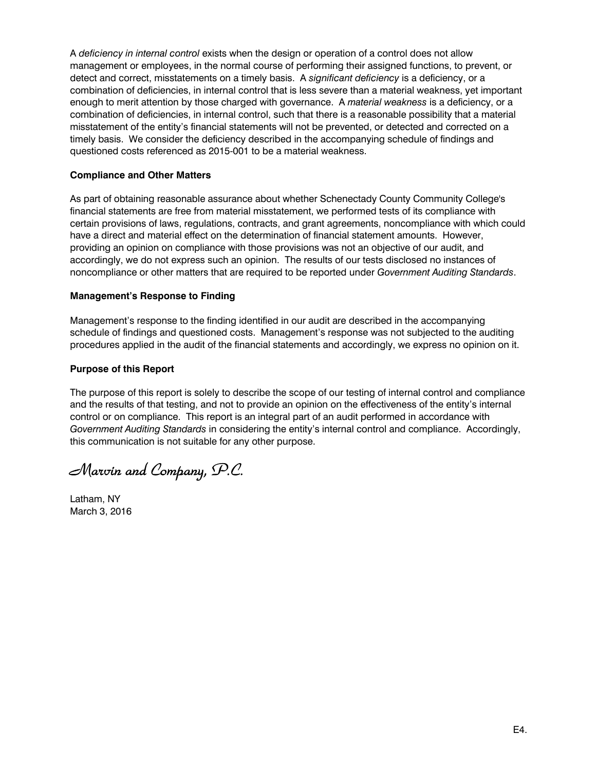A *deficiency in internal control* exists when the design or operation of a control does not allow management or employees, in the normal course of performing their assigned functions, to prevent, or detect and correct, misstatements on a timely basis. A *significant deficiency* is a deficiency, or a combination of deficiencies, in internal control that is less severe than a material weakness, yet important enough to merit attention by those charged with governance. A *material weakness* is a deficiency, or a combination of deficiencies, in internal control, such that there is a reasonable possibility that a material misstatement of the entity's financial statements will not be prevented, or detected and corrected on a timely basis. We consider the deficiency described in the accompanying schedule of findings and questioned costs referenced as 2015-001 to be a material weakness.

## **Compliance and Other Matters**

As part of obtaining reasonable assurance about whether Schenectady County Community College's financial statements are free from material misstatement, we performed tests of its compliance with certain provisions of laws, regulations, contracts, and grant agreements, noncompliance with which could have a direct and material effect on the determination of financial statement amounts. However, providing an opinion on compliance with those provisions was not an objective of our audit, and accordingly, we do not express such an opinion. The results of our tests disclosed no instances of noncompliance or other matters that are required to be reported under *Government Auditing Standards*.

## **Management's Response to Finding**

Management's response to the finding identified in our audit are described in the accompanying schedule of findings and questioned costs. Management's response was not subjected to the auditing procedures applied in the audit of the financial statements and accordingly, we express no opinion on it.

## **Purpose of this Report**

The purpose of this report is solely to describe the scope of our testing of internal control and compliance and the results of that testing, and not to provide an opinion on the effectiveness of the entity's internal control or on compliance. This report is an integral part of an audit performed in accordance with *Government Auditing Standards* in considering the entity's internal control and compliance. Accordingly, this communication is not suitable for any other purpose.

Marvin and Company, P.C.

Latham, NY March 3, 2016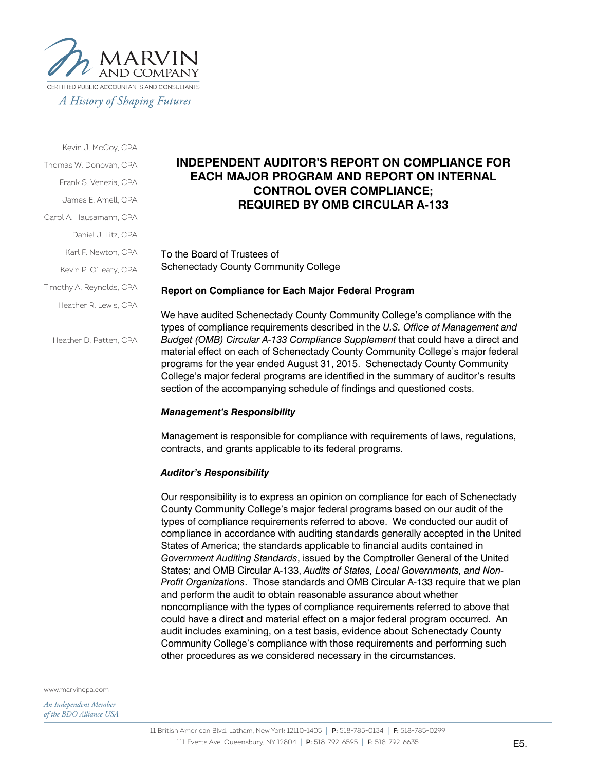

Kevin J. McCoy, CPA Thomas W. Donovan, CPA Frank S. Venezia, CPA James E. Amell, CPA Carol A. Hausamann, CPA Daniel J. Litz, CPA Karl F. Newton, CPA

Kevin P. O'Leary, CPA

Timothy A. Reynolds, CPA

Heather R. Lewis, CPA

Heather D. Patten, CPA

# **INDEPENDENT AUDITOR'S REPORT ON COMPLIANCE FOR EACH MAJOR PROGRAM AND REPORT ON INTERNAL CONTROL OVER COMPLIANCE; REQUIRED BY OMB CIRCULAR A-133**

To the Board of Trustees of Schenectady County Community College

## **Report on Compliance for Each Major Federal Program**

We have audited Schenectady County Community College's compliance with the types of compliance requirements described in the *U.S. Office of Management and Budget (OMB) Circular A-133 Compliance Supplement* that could have a direct and material effect on each of Schenectady County Community College's major federal programs for the year ended August 31, 2015. Schenectady County Community College's major federal programs are identified in the summary of auditor's results section of the accompanying schedule of findings and questioned costs.

## *Management's Responsibility*

Management is responsible for compliance with requirements of laws, regulations, contracts, and grants applicable to its federal programs.

## *Auditor's Responsibility*

Our responsibility is to express an opinion on compliance for each of Schenectady County Community College's major federal programs based on our audit of the types of compliance requirements referred to above. We conducted our audit of compliance in accordance with auditing standards generally accepted in the United States of America; the standards applicable to financial audits contained in *Government Auditing Standards*, issued by the Comptroller General of the United States; and OMB Circular A-133, *Audits of States, Local Governments, and Non-Profit Organizations*. Those standards and OMB Circular A-133 require that we plan and perform the audit to obtain reasonable assurance about whether noncompliance with the types of compliance requirements referred to above that could have a direct and material effect on a major federal program occurred. An audit includes examining, on a test basis, evidence about Schenectady County Community College's compliance with those requirements and performing such other procedures as we considered necessary in the circumstances.

www.marvincpa.com

*An Independent Member of the BDO Alliance USA*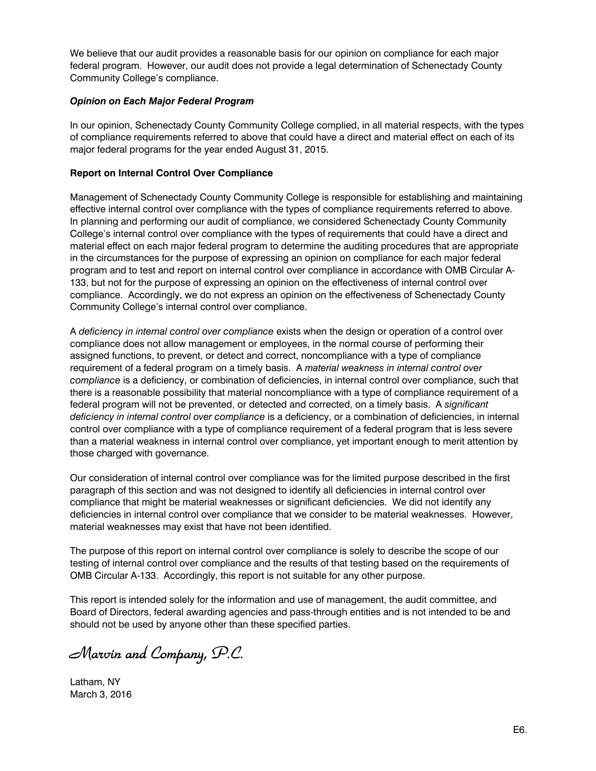We believe that our audit provides a reasonable basis for our opinion on compliance for each major federal program. However, our audit does not provide a legal determination of Schenectady County Community College's compliance.

## *Opinion on Each Major Federal Program*

In our opinion, Schenectady County Community College complied, in all material respects, with the types of compliance requirements referred to above that could have a direct and material effect on each of its major federal programs for the year ended August 31, 2015.

## **Report on Internal Control Over Compliance**

Management of Schenectady County Community College is responsible for establishing and maintaining effective internal control over compliance with the types of compliance requirements referred to above. In planning and performing our audit of compliance, we considered Schenectady County Community College's internal control over compliance with the types of requirements that could have a direct and material effect on each major federal program to determine the auditing procedures that are appropriate in the circumstances for the purpose of expressing an opinion on compliance for each major federal program and to test and report on internal control over compliance in accordance with OMB Circular A-133, but not for the purpose of expressing an opinion on the effectiveness of internal control over compliance. Accordingly, we do not express an opinion on the effectiveness of Schenectady County Community College's internal control over compliance.

A *deficiency in internal control over compliance* exists when the design or operation of a control over compliance does not allow management or employees, in the normal course of performing their assigned functions, to prevent, or detect and correct, noncompliance with a type of compliance requirement of a federal program on a timely basis. A *material weakness in internal control over compliance* is a deficiency, or combination of deficiencies, in internal control over compliance, such that there is a reasonable possibility that material noncompliance with a type of compliance requirement of a federal program will not be prevented, or detected and corrected, on a timely basis. A *significant deficiency in internal control over compliance* is a deficiency, or a combination of deficiencies, in internal control over compliance with a type of compliance requirement of a federal program that is less severe than a material weakness in internal control over compliance, yet important enough to merit attention by those charged with governance.

Our consideration of internal control over compliance was for the limited purpose described in the first paragraph of this section and was not designed to identify all deficiencies in internal control over compliance that might be material weaknesses or significant deficiencies. We did not identify any deficiencies in internal control over compliance that we consider to be material weaknesses. However, material weaknesses may exist that have not been identified.

The purpose of this report on internal control over compliance is solely to describe the scope of our testing of internal control over compliance and the results of that testing based on the requirements of OMB Circular A-133. Accordingly, this report is not suitable for any other purpose.

This report is intended solely for the information and use of management, the audit committee, and Board of Directors, federal awarding agencies and pass-through entities and is not intended to be and should not be used by anyone other than these specified parties.

Marvin and Company, P.C.

Latham, NY March 3, 2016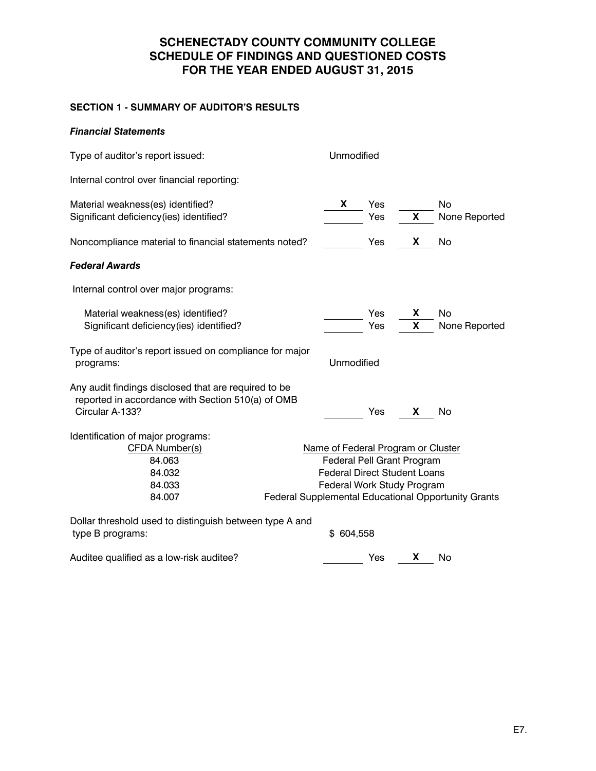# **SCHENECTADY COUNTY COMMUNITY COLLEGE SCHEDULE OF FINDINGS AND QUESTIONED COSTS FOR THE YEAR ENDED AUGUST 31, 2015**

# **SECTION 1 - SUMMARY OF AUDITOR'S RESULTS**

# *Financial Statements*

| Type of auditor's report issued:                                                                                             | Unmodified                                                                                                                            |            |         |                                                     |
|------------------------------------------------------------------------------------------------------------------------------|---------------------------------------------------------------------------------------------------------------------------------------|------------|---------|-----------------------------------------------------|
| Internal control over financial reporting:                                                                                   |                                                                                                                                       |            |         |                                                     |
| Material weakness(es) identified?<br>Significant deficiency(ies) identified?                                                 | X.                                                                                                                                    | Yes<br>Yes | X       | No<br>None Reported                                 |
| Noncompliance material to financial statements noted?                                                                        |                                                                                                                                       | Yes        | X.      | No                                                  |
| <b>Federal Awards</b>                                                                                                        |                                                                                                                                       |            |         |                                                     |
| Internal control over major programs:                                                                                        |                                                                                                                                       |            |         |                                                     |
| Material weakness(es) identified?<br>Significant deficiency(ies) identified?                                                 |                                                                                                                                       | Yes<br>Yes | X.<br>X | No<br>None Reported                                 |
| Type of auditor's report issued on compliance for major<br>programs:                                                         | Unmodified                                                                                                                            |            |         |                                                     |
| Any audit findings disclosed that are required to be<br>reported in accordance with Section 510(a) of OMB<br>Circular A-133? |                                                                                                                                       | Yes        | X.      | No                                                  |
| Identification of major programs:<br><b>CFDA Number(s)</b><br>84.063<br>84.032<br>84.033<br>84.007                           | Name of Federal Program or Cluster<br>Federal Pell Grant Program<br><b>Federal Direct Student Loans</b><br>Federal Work Study Program |            |         | Federal Supplemental Educational Opportunity Grants |
| Dollar threshold used to distinguish between type A and<br>type B programs:                                                  | \$604,558                                                                                                                             |            |         |                                                     |
| Auditee qualified as a low-risk auditee?                                                                                     |                                                                                                                                       | Yes        | X.      | No                                                  |